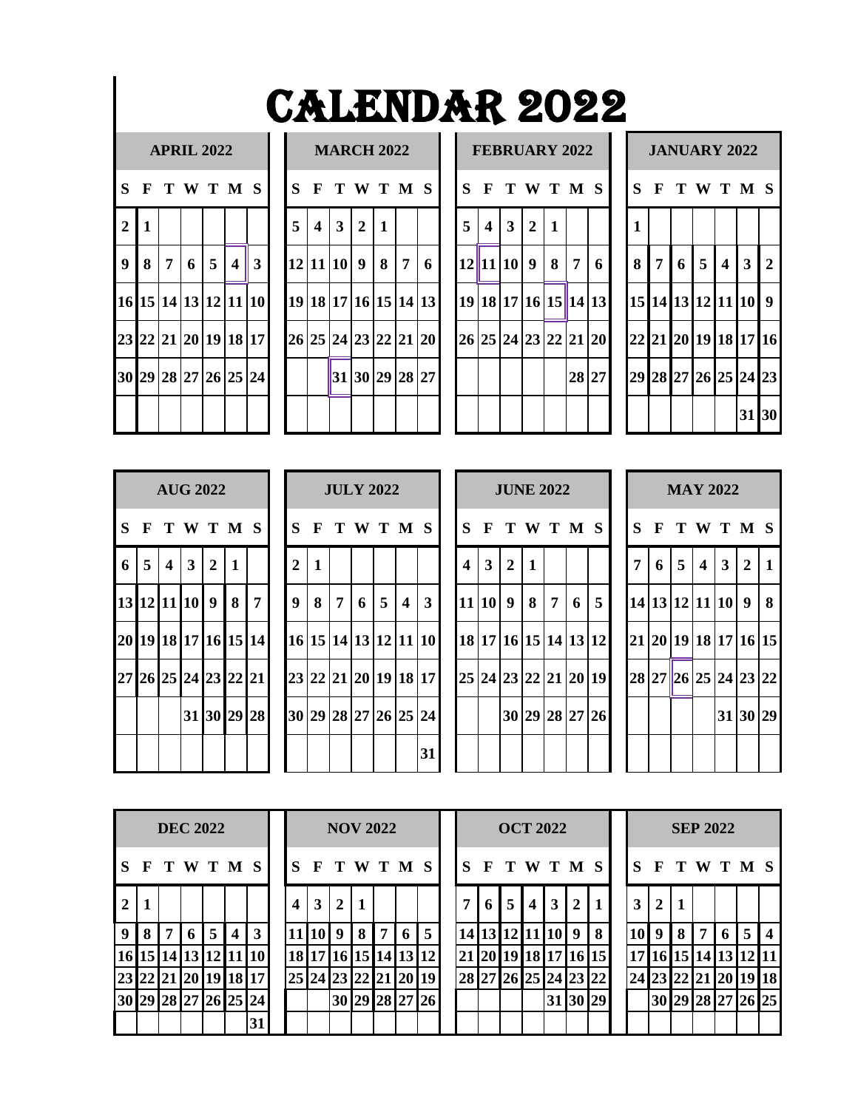| <b>CALENDAR 2022</b> |  |  |
|----------------------|--|--|
|----------------------|--|--|

### $APRIL 2022$

|                | S F T W T M S        |                 |       |                         |
|----------------|----------------------|-----------------|-------|-------------------------|
| $\overline{2}$ | $\mathbf{1}$         |                 |       |                         |
| $\overline{9}$ | 8                    | $7\overline{ }$ | 6 5 4 | $\overline{\mathbf{3}}$ |
|                | 16 15 14 13 12 11    |                 |       | 10                      |
|                | 23 22 21 20 19 18 17 |                 |       |                         |
|                | 30 29 28 27 26 25 24 |                 |       |                         |
|                |                      |                 |       |                         |

|                |                      |                   | <b>MARCH 2022</b> |           |                |   |
|----------------|----------------------|-------------------|-------------------|-----------|----------------|---|
| S              |                      |                   | F T W T M S       |           |                |   |
| 5 <sup>1</sup> |                      | $4 \mid 3 \mid 2$ |                   | $\vert$ 1 |                |   |
|                | 12 11 10 9 8         |                   |                   |           | $\overline{7}$ | 6 |
|                | 19 18 17 16 15 14 13 |                   |                   |           |                |   |
|                | 26 25 24 23 22 21 20 |                   |                   |           |                |   |
|                |                      |                   | 31 30 29 28 27    |           |                |   |
|                |                      |                   |                   |           |                |   |

|                |   | <b>APRIL 2022</b> |   |                |                         |                                  |                |                  |              | <b>MARCH 2022</b>    |                |                |   |   |                         |                |                | <b>FEBRUARY 2022</b> |     |                      |              |                | <b>JANUARY 2022</b>  |   |                |       |     |
|----------------|---|-------------------|---|----------------|-------------------------|----------------------------------|----------------|------------------|--------------|----------------------|----------------|----------------|---|---|-------------------------|----------------|----------------|----------------------|-----|----------------------|--------------|----------------|----------------------|---|----------------|-------|-----|
|                |   |                   |   |                |                         | S F T W T M S                    | S              |                  |              | F T W T M S          |                |                |   |   |                         |                |                | <b>SFTWTMS</b>       |     |                      | $\mathbf{S}$ |                | F T W T M S          |   |                |       |     |
| 2 <sup>1</sup> |   |                   |   |                |                         |                                  | $\overline{5}$ | $\boldsymbol{4}$ | $\mathbf{3}$ | $\overline{2}$       | $\blacksquare$ |                |   | 5 | $\overline{\mathbf{4}}$ | 3 <sup>1</sup> | $\overline{2}$ |                      |     |                      |              |                |                      |   |                |       |     |
| 9 <sup>1</sup> | 8 | 7                 | 6 | 5 <sup>5</sup> | $\overline{\mathbf{4}}$ | 3                                |                |                  |              | 12 11 10 9 8         |                | $\overline{7}$ | 6 |   | $12$   11  10  9        |                |                |                      | 8 7 | 6                    | 8            | $\overline{7}$ | 6                    | 5 | $\overline{4}$ |       | 3 2 |
|                |   |                   |   |                |                         | 16 15 14 13 12 11 10             |                |                  |              | 19 18 17 16 15 14 13 |                |                |   |   |                         |                |                |                      |     | 19 18 17 16 15 14 13 |              |                | 15 14 13 12 11 10 9  |   |                |       |     |
|                |   |                   |   |                |                         | 23 22 21 20 19 18 17             |                |                  |              | 26 25 24 23 22 21 20 |                |                |   |   |                         |                |                |                      |     | 26 25 24 23 22 21 20 |              |                | 22 21 20 19 18 17 16 |   |                |       |     |
|                |   |                   |   |                |                         | 30   29   28   27   26   25   24 |                |                  |              | 31 30 29 28 27       |                |                |   |   |                         |                |                |                      |     | 28 27                |              |                | 29 28 27 26 25 24 23 |   |                |       |     |
|                |   |                   |   |                |                         |                                  |                |                  |              |                      |                |                |   |   |                         |                |                |                      |     |                      |              |                |                      |   |                | 31 30 |     |

|              | <b>JANUARY 2022</b>  |         |  |                |                |
|--------------|----------------------|---------|--|----------------|----------------|
|              | S F T W T M S        |         |  |                |                |
| $\mathbf{1}$ |                      |         |  |                |                |
| 8            |                      | 7 6 5 4 |  | $\overline{3}$ | $\overline{2}$ |
|              | 15 14 13 12 11 10    |         |  |                | $\overline{9}$ |
|              | 22 21 20 19 18 17 16 |         |  |                |                |
|              | 29 28 27 26 25 24 23 |         |  |                |                |
|              |                      |         |  | 31 30          |                |

|                |                          | <b>AUG 2022</b>      |              |                |
|----------------|--------------------------|----------------------|--------------|----------------|
|                |                          | S F T W T M S        |              |                |
| 6 <sup>1</sup> | $5 \mid 4 \mid 3 \mid 2$ |                      | $\mathbf{1}$ |                |
|                |                          | 13 12 11 10 9 8      |              | $\overline{7}$ |
|                |                          | 20 19 18 17 16 15 14 |              |                |
|                |                          | 27 26 25 24 23 22 21 |              |                |
|                |                          | 31 30 29 28          |              |                |
|                |                          |                      |              |                |

|     |                | <b>AUG 2022</b>      |                         |     |   |                      |                  |              |                | <b>JULY 2022</b> |                |                         |              |                      |              |                |              | <b>JUNE 2022</b> |   |   |                      |   | <b>MAY 2022</b> |                         |              |          |  |
|-----|----------------|----------------------|-------------------------|-----|---|----------------------|------------------|--------------|----------------|------------------|----------------|-------------------------|--------------|----------------------|--------------|----------------|--------------|------------------|---|---|----------------------|---|-----------------|-------------------------|--------------|----------|--|
|     |                |                      |                         |     |   | S F T W T M S        | S                |              |                |                  |                | F T W T M S             |              | $S_{\cdot}$          | F T W T M S  |                |              |                  |   |   |                      |   | F T W T M S     |                         |              |          |  |
| 6 I | $\overline{5}$ | $\overline{4}$       | $\overline{\mathbf{3}}$ | 2 1 |   |                      | $\overline{2}$   | $\mathbf{1}$ |                |                  |                |                         |              | 4                    | $\mathbf{3}$ | $\overline{2}$ | $\mathbf{1}$ |                  |   |   |                      | 6 | 5               | $\overline{\mathbf{4}}$ | $\mathbf{3}$ | 2 1      |  |
|     |                | 13 12 11 10 9 1      |                         |     | 8 | $\overline{7}$       | $\boldsymbol{9}$ | 8            | $\overline{7}$ | 6 <sup>1</sup>   | $\overline{5}$ | $\overline{\mathbf{4}}$ | $\mathbf{3}$ | 1111019              |              |                | 8            | $\overline{7}$   | 6 | 5 | 14 13 12 11 10 9 8   |   |                 |                         |              |          |  |
|     |                |                      |                         |     |   | 20 19 18 17 16 15 14 |                  |              |                |                  |                | 16 15 14 13 12 11 10    |              | 18 17 16 15 14 13 12 |              |                |              |                  |   |   | 21 20 19 18 17 16 15 |   |                 |                         |              |          |  |
|     |                | 27 26 25 24 23 22 21 |                         |     |   |                      |                  |              |                |                  |                | 23 22 21 20 19 18 17    |              | 25 24 23 22 21 20 19 |              |                |              |                  |   |   | 28 27 26 25 24 23 22 |   |                 |                         |              |          |  |
|     |                |                      |                         |     |   | 31 30 29 28          |                  |              |                |                  |                | 30 29 28 27 26 25 24    |              |                      |              |                |              | 30 29 28 27 26   |   |   |                      |   |                 |                         |              | 31 30 29 |  |
|     |                |                      |                         |     |   |                      |                  |              |                |                  |                |                         | 31           |                      |              |                |              |                  |   |   |                      |   |                 |                         |              |          |  |

|                         |                |                |              | <b>JUNE 2022</b>     |                  |   |
|-------------------------|----------------|----------------|--------------|----------------------|------------------|---|
|                         |                |                |              | S F T W T M S        |                  |   |
| $\overline{\mathbf{4}}$ | 3 <sup>1</sup> | $\overline{2}$ | $\mathbf{1}$ |                      |                  |   |
|                         | 11 10 9        |                | $8 \mid 7$   |                      | $\boldsymbol{6}$ | 5 |
| 18                      |                |                |              | 17 16 15 14 13 12    |                  |   |
|                         |                |                |              | 25 24 23 22 21 20 19 |                  |   |
|                         |                |                |              | 30 29 28 27 26       |                  |   |
|                         |                |                |              |                      |                  |   |

|                |                      |     | <b>MAY 2022</b> |                         |                |              |
|----------------|----------------------|-----|-----------------|-------------------------|----------------|--------------|
| S              |                      |     | F T W T M S     |                         |                |              |
| $\overline{7}$ | 6                    | 5 4 |                 | $\overline{\mathbf{3}}$ | $\overline{2}$ | $\mathbf{1}$ |
|                | 14 13 12 11 10 9     |     |                 |                         |                | 8            |
|                | 21 20 19 18 17 16 15 |     |                 |                         |                |              |
|                | 28 27 26 25 24 23 22 |     |                 |                         |                |              |
|                |                      |     |                 |                         | 31 30 29       |              |
|                |                      |     |                 |                         |                |              |

|                |              |   | <b>DEC 2022</b> |   |                         |                   |   |              | <b>NOV 2022</b> |       |   |                   |                |              |              | <b>OCT 2022</b>  |      |    |                      |             |                 |    |       | <b>SEP 2022</b> |   |                                  |                         |
|----------------|--------------|---|-----------------|---|-------------------------|-------------------|---|--------------|-----------------|-------|---|-------------------|----------------|--------------|--------------|------------------|------|----|----------------------|-------------|-----------------|----|-------|-----------------|---|----------------------------------|-------------------------|
| l S            | $\mathbf{F}$ |   | T W T M S       |   |                         |                   |   | $\mathbf{F}$ | T W T M S       |       |   |                   |                | $\mathbf{s}$ | $\mathbf{F}$ |                  |      |    | T W T M S            |             |                 | F  |       |                 |   | T W T M S                        |                         |
| $\overline{2}$ |              |   |                 |   |                         |                   | 4 | 3            | 2               |       |   |                   |                | 7            | 6            | 5 <sub>1</sub>   | $-4$ | 3  | $\overline{2}$       | $\mathbf 1$ | 3 <sup>1</sup>  | 2  |       |                 |   |                                  |                         |
| 9              |              | 7 | 6               | 5 | $\overline{\mathbf{4}}$ | $\mathbf{3}$      |   | 11 10        | 9               | 8     | 7 | $\cdot$ 6 $\cdot$ | 5              |              |              | 14 13 12 11 10 9 |      |    |                      | 8           | 10              | 9  | 8 I   | 7               | 6 | 5                                | $\overline{\mathbf{4}}$ |
| 16             | 15 I         |   |                 |   |                         | 14 13 12 11 10    |   | 18 17        |                 | 16 15 |   |                   | 14 13 12       |              |              |                  |      |    | 21 20 19 18 17 16 15 |             | 17 <sup>1</sup> |    | 16 15 |                 |   | 14 13 12 11                      |                         |
| 23             |              |   |                 |   |                         | 22 21 20 19 18 17 |   |              | 25 24 23 22     |       |   |                   | 21 20 19       |              |              |                  |      |    | 28 27 26 25 24 23 22 |             |                 |    |       |                 |   | 24   23   22   21   20   19   18 |                         |
| 30             |              |   |                 |   |                         | 29 28 27 26 25 24 |   |              |                 |       |   |                   | 30 29 28 27 26 |              |              |                  |      | 31 | 30 29                |             |                 | 30 |       |                 |   | 29 28 27 26 25                   |                         |
|                |              |   |                 |   |                         | 31                |   |              |                 |       |   |                   |                |              |              |                  |      |    |                      |             |                 |    |       |                 |   |                                  |                         |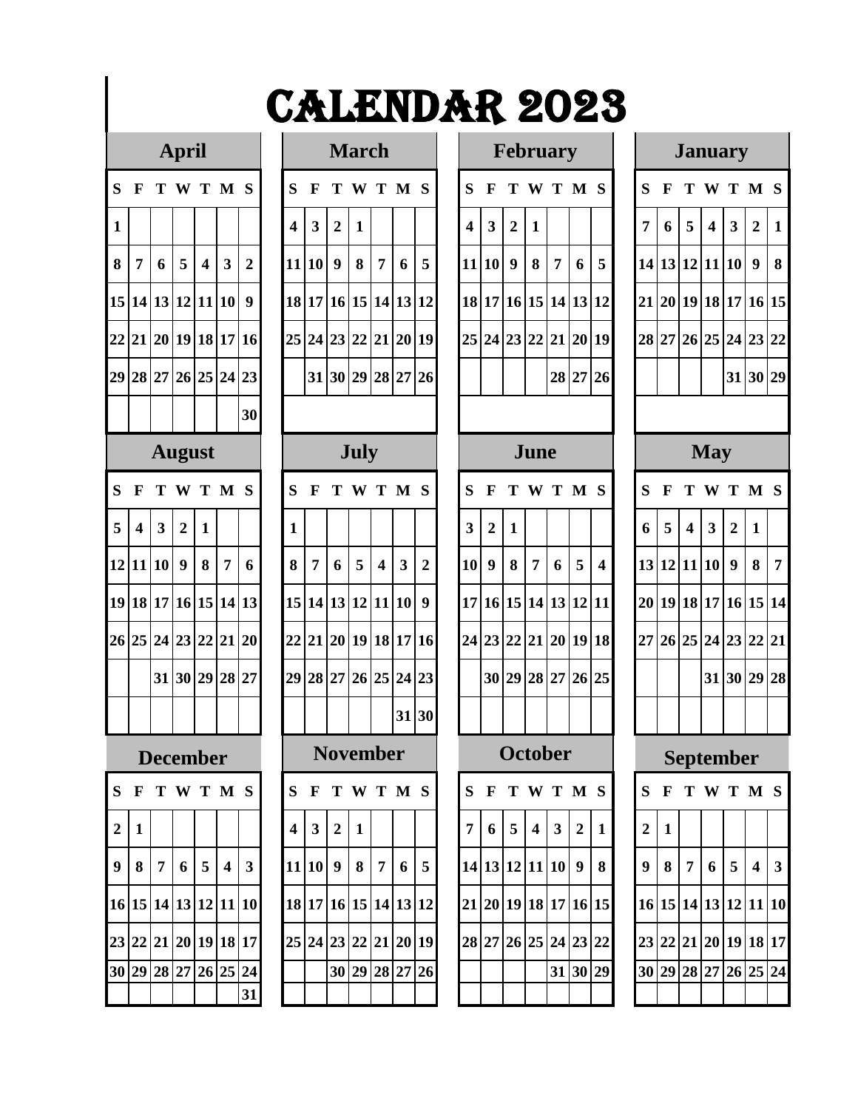### $Ar因$  **April**

| S                       | F                       | T                       | W                | <sup>T</sup>            | $\mathbf{M}$            | S                       |
|-------------------------|-------------------------|-------------------------|------------------|-------------------------|-------------------------|-------------------------|
| $\mathbf{1}$            |                         |                         |                  |                         |                         |                         |
| 8                       | 7                       | $\boldsymbol{6}$        | 5                | $\overline{\mathbf{4}}$ | $\overline{\mathbf{3}}$ | $\overline{\mathbf{c}}$ |
| 15                      | 14                      |                         | 13 12            | 11                      | 10                      | 9                       |
| 22                      | 21                      | 20 <sup>1</sup>         | 19               | 18                      | 17                      | 16                      |
| 29                      | 28                      |                         | 27 26 25         |                         | 24                      | 23                      |
|                         |                         |                         |                  |                         |                         | 30                      |
|                         |                         |                         | August           |                         |                         |                         |
| S                       | F                       | T                       | W                | T                       | M                       | S                       |
| 5                       | $\overline{\mathbf{4}}$ | $\overline{\mathbf{3}}$ | $\overline{2}$   | $\mathbf{1}$            |                         |                         |
| 12                      | 11                      | $\overline{10}$         | $\boldsymbol{9}$ | 8                       | 7                       | 6                       |
| 19                      | 18                      |                         | 17 16            | 15                      | 14                      | 13                      |
| 26                      | 25                      | 24                      | 23               | 22                      | 21                      | 20                      |
|                         |                         | 31                      | 30               | 29                      | 28                      | 27                      |
|                         |                         |                         |                  |                         |                         |                         |
|                         |                         |                         | <b>)ecember</b>  |                         |                         |                         |
| S                       |                         |                         | F T W T M        |                         |                         | S                       |
| $\overline{\mathbf{c}}$ | $\mathbf{1}$            |                         |                  |                         |                         |                         |
| 9                       | 8                       | 7                       | 6                | 5                       | $\overline{\mathbf{4}}$ | 3                       |
| 16                      | 15                      | 14                      | 13               | 12                      | 11                      | 10                      |
| 23                      | 22                      | 21                      | 20               | 19                      | 18                      | 17                      |
| 30                      | 29                      | 28                      | 27               | 26                      | 25                      | 24                      |
|                         |                         |                         |                  |                         |                         | 31                      |

|                         |                         |                         | <b>March</b>    |                         |        |                         |
|-------------------------|-------------------------|-------------------------|-----------------|-------------------------|--------|-------------------------|
| S                       | F                       | T                       | W               | T                       | M      | S                       |
| $\overline{\mathbf{4}}$ | $\overline{\mathbf{3}}$ | $\overline{\mathbf{c}}$ | $\mathbf{1}$    |                         |        |                         |
| 11                      | 10                      | 9                       | 8               | $\overline{7}$          | 6      | 5                       |
| 18                      | 17                      | 16                      | 15              | 14                      | 13     | 12                      |
| 25                      | $\overline{24}$         | 23                      | 22              | 21                      | 20     | 19                      |
|                         | 31                      | 30                      | 29              | 28                      | 27     | 26                      |
|                         |                         |                         |                 |                         |        |                         |
|                         |                         |                         | <b>July</b>     |                         |        |                         |
| S                       | $\mathbf F$             | T                       | W               | T                       | M      | S                       |
| $\mathbf{1}$            |                         |                         |                 |                         |        |                         |
| 8                       | 7                       | 6                       | 5               | $\overline{\mathbf{4}}$ | 3      | $\overline{\mathbf{c}}$ |
| 15                      | 14                      | 13                      | 12              | 11                      | 10     | 9                       |
| $\overline{22}$         | $\overline{21}$         | $20\,$                  | 19              | 18                      | 17     | 16                      |
| 29                      | 28                      | 27                      | 26              | 25                      | 24     | 23                      |
|                         |                         |                         |                 |                         | 31     | 30                      |
|                         |                         |                         | <b>November</b> |                         |        |                         |
| S                       | F                       | T                       | W               | T                       | M      | S                       |
| $\overline{\mathbf{4}}$ | $\overline{\mathbf{3}}$ | $\overline{c}$          | $\mathbf{1}$    |                         |        |                         |
| 11                      | 10                      | 9                       | 8               | 7                       | 6      | 5                       |
| 18                      | 17                      | 16                      | 15              | 14                      | 13     | $\overline{12}$         |
| 25                      | 24                      | 23                      | 22              | 21                      | $20\,$ | 19                      |
|                         |                         | 30                      | 29              | 28                      | 27     | 26                      |
|                         |                         |                         |                 |                         |        |                         |

|              |                         |                | <b>April</b>         |                  |                         |                            |                |                |                  | <b>March</b> |                         |                         |                  |     |                  | <b>February</b>      |              |                |                |                  |                |                      |                         | <b>January</b>          |                         |                  |                |
|--------------|-------------------------|----------------|----------------------|------------------|-------------------------|----------------------------|----------------|----------------|------------------|--------------|-------------------------|-------------------------|------------------|-----|------------------|----------------------|--------------|----------------|----------------|------------------|----------------|----------------------|-------------------------|-------------------------|-------------------------|------------------|----------------|
| S F          |                         |                | T W T M S            |                  |                         |                            | S              | $\mathbf F$    |                  |              | TWTMS                   |                         |                  | S   | $\mathbf{F}$     |                      |              |                | TWTMS          |                  | S              | $\mathbf F$          |                         | TWTMS                   |                         |                  |                |
| $\mathbf{1}$ |                         |                |                      |                  |                         |                            | 4              | 3              | $\boldsymbol{2}$ | 1            |                         |                         |                  | 4   | $\mathbf{3}$     | $\overline{2}$       | $\mathbf{1}$ |                |                |                  | 7              | 6                    | 5                       | $\overline{\mathbf{4}}$ | $\overline{\mathbf{3}}$ | $\overline{2}$   | $\mathbf{1}$   |
| 8            | 7                       | 6              | 5                    | $\boldsymbol{4}$ | $\overline{\mathbf{3}}$ | $\overline{2}$             |                | 11 10          | $\boldsymbol{9}$ | 8            | $\overline{7}$          | 6                       | 5                |     | 11 10            | 9                    | 8            | $\overline{7}$ | 6              | 5                |                | 14 13 12 11 10       |                         |                         |                         | $\boldsymbol{9}$ | $\vert 8$      |
|              |                         |                | 15 14 13 12 11 10    |                  |                         | $\boldsymbol{9}$           |                |                |                  |              | 18 17 16 15 14 13 12    |                         |                  |     |                  | 18 17 16 15 14 13 12 |              |                |                |                  |                | 21 20 19 18 17 16 15 |                         |                         |                         |                  |                |
|              |                         |                | 22 21 20 19 18 17 16 |                  |                         |                            |                |                |                  |              | 25 24 23 22 21 20 19    |                         |                  |     |                  | 25 24 23 22 21 20 19 |              |                |                |                  |                | 28 27 26 25 24 23 22 |                         |                         |                         |                  |                |
|              |                         |                | 29 28 27 26 25 24 23 |                  |                         |                            |                |                |                  |              | 31 30 29 28 27 26       |                         |                  |     |                  |                      |              |                | 28 27 26       |                  |                |                      |                         |                         |                         | 31 30 29         |                |
|              |                         |                |                      |                  |                         | 30                         |                |                |                  |              |                         |                         |                  |     |                  |                      |              |                |                |                  |                |                      |                         |                         |                         |                  |                |
|              |                         |                | <b>August</b>        |                  |                         |                            |                |                |                  | July         |                         |                         |                  |     |                  |                      | June         |                |                |                  |                |                      |                         | <b>May</b>              |                         |                  |                |
| S            | - F                     |                | TWTMS                |                  |                         |                            | S              | F              |                  |              | W T M S                 |                         |                  | S   | $\mathbf F$      |                      |              |                | TWTMS          |                  | S              | F                    |                         | T W T M S               |                         |                  |                |
| 5            | $\overline{\mathbf{4}}$ | $\mathbf{3}$   | $\boldsymbol{2}$     | $\mathbf{1}$     |                         |                            | 1              |                |                  |              |                         |                         |                  | 3   | $\boldsymbol{2}$ | 1                    |              |                |                |                  | 6              | 5                    | $\overline{\mathbf{4}}$ | $\mathbf{3}$            | $\boldsymbol{2}$        | $\mathbf{1}$     |                |
|              |                         | 12 11 10       | $\boldsymbol{9}$     | 8                | 7                       | 6                          | 8              | 7              | 6                | 5            | $\overline{\mathbf{4}}$ | $\overline{\mathbf{3}}$ | $\boldsymbol{2}$ | 10  | $\boldsymbol{9}$ | 8                    | 7            | 6              | 5              | $\boldsymbol{4}$ |                | 13 12 11 10          |                         |                         | $\boldsymbol{9}$        | 8                | $\overline{7}$ |
|              |                         |                |                      |                  |                         | 19 18 17 16 15 14 13       |                |                |                  |              | 15 14 13 12 11 10       |                         | 9                |     |                  | 17 16 15 14 13 12 11 |              |                |                |                  |                | 20 19 18 17 16 15 14 |                         |                         |                         |                  |                |
|              |                         |                | 26 25 24 23 22 21 20 |                  |                         |                            |                |                |                  |              | 22 21 20 19 18 17 16    |                         |                  |     |                  | 24 23 22 21 20 19 18 |              |                |                |                  |                | 27 26 25 24 23 22 21 |                         |                         |                         |                  |                |
|              |                         |                | 31 30 29 28 27       |                  |                         |                            |                |                |                  |              | 29 28 27 26 25 24 23    |                         |                  |     |                  | 30 29 28 27 26 25    |              |                |                |                  |                |                      |                         |                         | 31 30 29 28             |                  |                |
|              |                         |                |                      |                  |                         |                            |                |                |                  |              |                         |                         | 31 30            |     |                  |                      |              |                |                |                  |                |                      |                         |                         |                         |                  |                |
|              |                         |                | <b>December</b>      |                  |                         |                            |                |                |                  |              | <b>November</b>         |                         |                  |     |                  | <b>October</b>       |              |                |                |                  |                |                      |                         | <b>September</b>        |                         |                  |                |
|              |                         |                |                      |                  |                         | S F T W T M S              |                |                |                  |              | S F T W T M S           |                         |                  |     |                  | S F T W T M S        |              |                |                |                  |                | S F T W T M S        |                         |                         |                         |                  |                |
| 2 1          |                         |                |                      |                  |                         |                            | $\overline{4}$ | 3 <sup>1</sup> | $\overline{2}$   | 1            |                         |                         |                  | 7 I |                  | $6 \mid 5 \mid 4$    |              | $\mathbf{3}$   | $\overline{2}$ | 1                | $\overline{2}$ | l 1                  |                         |                         |                         |                  |                |
|              | 9 8                     | 7 <sup>1</sup> | 6                    | 5 <sup>1</sup>   | $\overline{4}$          | $\mathbf{3}$               |                | 11 10 9        |                  |              | 8 7                     |                         | $6 \mid 5$       |     |                  | 14 13 12 11 10 9     |              |                |                | 8                | 9 <sup>°</sup> | 8 <sup>1</sup>       | 7 <sup>1</sup>          | 6                       | 5 <sup>5</sup>          | $4 \mid 3$       |                |
|              |                         |                |                      |                  |                         | 16 15 14 13 12 11 10       |                |                |                  |              | 18 17 16 15 14 13 12    |                         |                  |     |                  | 21 20 19 18 17 16 15 |              |                |                |                  |                | 16 15 14 13 12 11 10 |                         |                         |                         |                  |                |
|              |                         |                |                      |                  |                         | 23 22 21 20 19 18 17       |                |                |                  |              | 25 24 23 22 21 20 19    |                         |                  |     |                  | 28 27 26 25 24 23 22 |              |                |                |                  |                | 23 22 21 20 19 18 17 |                         |                         |                         |                  |                |
|              |                         |                |                      |                  |                         | 30 29 28 27 26 25 24<br>31 |                |                |                  |              | 30 29 28 27 26          |                         |                  |     |                  |                      |              |                | 31 30 29       |                  |                | 30 29 28 27 26 25 24 |                         |                         |                         |                  |                |
|              |                         |                |                      |                  |                         |                            |                |                |                  |              |                         |                         |                  |     |                  |                      |              |                |                |                  |                |                      |                         |                         |                         |                  |                |

|                 |              | January                 |                         |                         |                         |              |
|-----------------|--------------|-------------------------|-------------------------|-------------------------|-------------------------|--------------|
| S               | F            | T                       | W                       | т                       | M                       | S            |
| 7               | 6            | 5                       | $\overline{\mathbf{4}}$ | $\overline{\mathbf{3}}$ | $\overline{\mathbf{c}}$ | $\mathbf{1}$ |
| 14              | 13           |                         | 12 11                   | 10                      | 9                       | 8            |
| 21              | 20           |                         | 19 18                   | 17                      | 16                      | 15           |
| 28              | 27           |                         | 26 25                   |                         | 24 23                   | 22           |
|                 |              |                         |                         | 31                      | 30 29                   |              |
|                 |              |                         |                         |                         |                         |              |
|                 |              |                         | <b>May</b>              |                         |                         |              |
| S               | F            | T                       | W                       | T                       | M                       | S            |
| 6               | 5            | $\overline{\mathbf{4}}$ | $\overline{\mathbf{3}}$ | $\overline{\mathbf{c}}$ | $\mathbf{1}$            |              |
| 13              | 12           | 11                      | 10                      | 9                       | 8                       | 7            |
| $\overline{20}$ | 19           | 18                      | 17                      | 16                      | 15                      | 14           |
| 27              | 26           | 25                      | 24                      | 23                      | 22                      | 21           |
|                 |              |                         | 31                      | 30                      | 29                      | 28           |
|                 |              |                         |                         |                         |                         |              |
|                 |              | September               |                         |                         |                         |              |
| S               | F            | T                       | W                       | T                       | M                       | S            |
| $\overline{c}$  | $\mathbf{1}$ |                         |                         |                         |                         |              |
| 9               | 8            | 7                       | 6                       | 5                       | 4                       | 3            |
| 16              | 15           | 14                      | 13                      | 12                      | 11                      | 10           |
| 23              | 22           | 21                      | 20                      | 19                      | 18                      | 17           |
| 30              | 29           | 28                      | 27                      | 26                      | 25                      | 24           |
|                 |              |                         |                         |                         |                         |              |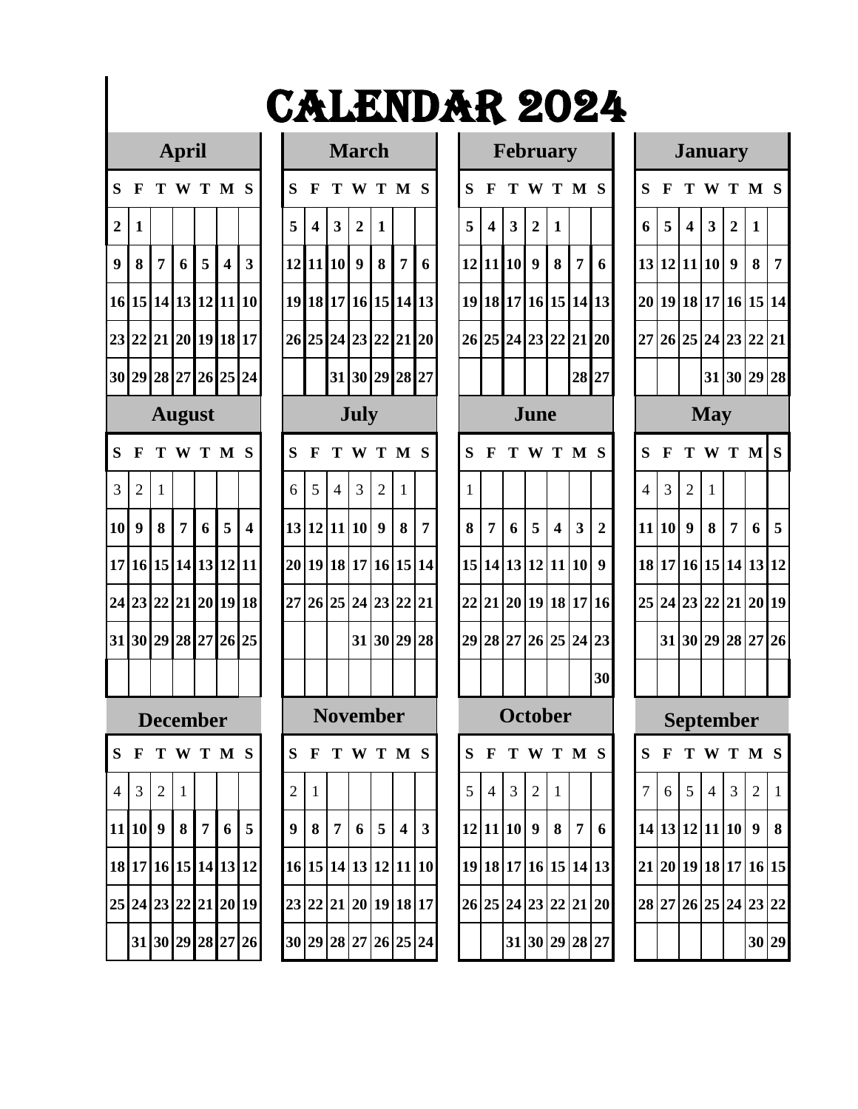|                         |                 |              | Ľ                |        |                         |    |
|-------------------------|-----------------|--------------|------------------|--------|-------------------------|----|
| S                       | F               | T            | W                | T      | M                       | S  |
| $\overline{\mathbf{c}}$ | $\mathbf{1}$    |              |                  |        |                         |    |
| 9                       | 8               | $\pmb{7}$    | $\boldsymbol{6}$ | 5      | $\overline{\mathbf{4}}$ | 3  |
| 16                      | 15              |              | 14 13            | 12     | 11                      | 10 |
| 23                      | 22              | 21           | 20               | 19     | 18                      | 17 |
| 30                      | 29              |              | 28 27 26         |        | 25                      | 24 |
|                         |                 |              | August           |        |                         |    |
| S                       | F               | T            | W                | T      | $\mathbf{M}$            | S  |
| 3                       | $\overline{c}$  | $\mathbf{1}$ |                  |        |                         |    |
| 10                      | $\overline{9}$  | 8            | 7                | 6      | 5                       | 4  |
| 17                      | 16              | 15           | 14               | 13     | 12                      | 11 |
| $\overline{24}$         | $\overline{23}$ | 22           | 21               | 20     | 19                      | 18 |
| 31                      | 30              | 29           | 28               | $27\,$ | 26                      | 25 |
|                         |                 |              |                  |        |                         |    |
|                         |                 |              | ecember          |        |                         |    |
| S                       | F               | т            | W                | Т      | M <sub>S</sub>          |    |
| 4                       | 3               | 2            | $\mathbf{1}$     |        |                         |    |
| 11                      | 10              | 9            | 8                | 7      | 6                       | 5  |
| 18                      | 17              | 16           | 15               | 14     | 13                      | 12 |
| 25<br>24                |                 | 23           | 22               | 21     | 20                      | 19 |
|                         | 31              | 30           | 29               | 28     | 27                      | 26 |

|                |                                 |                | <b>April</b>         |                |                         |                         |                |                  |                         | <b>March</b>   |                      |                |              |   |                         | <b>February</b>         |                |    |                |                |                |              | <b>January</b>          |                |                |             |                |
|----------------|---------------------------------|----------------|----------------------|----------------|-------------------------|-------------------------|----------------|------------------|-------------------------|----------------|----------------------|----------------|--------------|---|-------------------------|-------------------------|----------------|----|----------------|----------------|----------------|--------------|-------------------------|----------------|----------------|-------------|----------------|
| S.             | $\mathbf F$                     |                | T W T M S            |                |                         |                         | S              | F                | Т                       | W              | T M S                |                |              | S | F                       | T.                      |                |    | W T M S        |                | S              | F            |                         | W T M S        |                |             |                |
| $\overline{2}$ | 1                               |                |                      |                |                         |                         | 5              | $\boldsymbol{4}$ | $\overline{\mathbf{3}}$ | $\overline{2}$ | 1                    |                |              | 5 | $\overline{\mathbf{4}}$ | $\overline{\mathbf{3}}$ | $\overline{2}$ | 1  |                |                | 6              | 5            | $\overline{\mathbf{4}}$ | 3              | $\overline{2}$ | 1           |                |
| 9              | 8                               | $\overline{7}$ | 6                    | 5              | $\overline{\mathbf{4}}$ | $\overline{\mathbf{3}}$ |                | $12$ 11 10       |                         | 9              | 8                    | $\overline{7}$ | 6            |   |                         | 12 11 10                | 9              | 8  | $\overline{7}$ | 6              |                |              | 13 12 11 10             |                | 9              | 8           | $\overline{7}$ |
|                |                                 |                | 16 15 14 13 12 11 10 |                |                         |                         |                |                  |                         |                | 19 18 17 16 15 14 13 |                |              |   |                         | 19 18 17 16 15 14 13    |                |    |                |                |                |              | 20 19 18 17 16 15 14    |                |                |             |                |
|                |                                 |                | 23 22 21 20 19 18 17 |                |                         |                         |                |                  |                         |                | 26 25 24 23 22 21 20 |                |              |   |                         | 26 25 24 23 22 21 20    |                |    |                |                |                |              | 27 26 25 24 23 22 21    |                |                |             |                |
|                |                                 |                | 30 29 28 27 26 25 24 |                |                         |                         |                |                  |                         |                | 31 30 29 28 27       |                |              |   |                         |                         |                |    | 28 27          |                |                |              |                         |                |                | 31 30 29 28 |                |
|                |                                 |                | <b>August</b>        |                |                         |                         |                |                  |                         | <b>July</b>    |                      |                |              |   |                         |                         | June           |    |                |                |                |              |                         | <b>May</b>     |                |             |                |
| $S_{\text{}}$  | - F                             |                | TWTMS                |                |                         |                         | S              | $\mathbf F$      |                         |                | TWTMS                |                |              | S | $\mathbf F$             |                         |                |    | T W T M S      |                | S              | $\mathbf{F}$ |                         | T W T M S      |                |             |                |
| 3              | $\overline{2}$                  | 1              |                      |                |                         |                         | 6              | 5                | $\overline{4}$          | 3              | $\overline{2}$       | 1              |              | 1 |                         |                         |                |    |                |                | $\overline{4}$ | 3            | $\overline{2}$          | $\mathbf{1}$   |                |             |                |
| 10             | 9                               | 8              | $\overline{7}$       | 6              | 5                       | $\overline{\mathbf{4}}$ |                |                  |                         | 13 12 11 10    | $\boldsymbol{9}$     | 8              | 7            | 8 | 7                       | 6                       | 5              | 4  | 3              | $\overline{2}$ |                | 11 10        | 9                       | 8              | 7              | 6           | 5              |
|                |                                 |                | 17 16 15 14 13 12 11 |                |                         |                         |                |                  |                         |                | 20 19 18 17 16 15 14 |                |              |   |                         | 15 14 13 12 11 10       |                |    |                | 9              |                |              | 18 17 16 15 14 13 12    |                |                |             |                |
|                |                                 |                | 24 23 22 21 20 19 18 |                |                         |                         |                |                  |                         |                | 27 26 25 24 23 22 21 |                |              |   |                         | 22 21 20 19 18 17 16    |                |    |                |                |                |              | 25 24 23 22 21 20 19    |                |                |             |                |
|                |                                 |                | 31 30 29 28 27       |                | 26 25                   |                         |                |                  |                         | 31             | 30 29                |                | 28           |   |                         | 29 28 27 26 25 24 23    |                |    |                |                |                |              | 31 30 29 28 27 26       |                |                |             |                |
|                |                                 |                |                      |                |                         |                         |                |                  |                         |                |                      |                |              |   |                         |                         |                |    |                | 30             |                |              |                         |                |                |             |                |
|                |                                 |                | <b>December</b>      |                |                         |                         |                |                  |                         |                | <b>November</b>      |                |              |   |                         | <b>October</b>          |                |    |                |                |                |              | <b>September</b>        |                |                |             |                |
| S              | F                               |                | TWTMS                |                |                         |                         | S              | F                |                         |                | T W T M S            |                |              | S | $\mathbf{F}$            |                         |                |    | TWTMS          |                | S              | F            |                         | T W T M S      |                |             |                |
|                | $4 \overline{\smash{\big)}\ 3}$ | $\overline{2}$ |                      |                |                         |                         | 2              |                  |                         |                |                      |                |              | 5 | $\overline{4}$          | 3                       | 2              | -1 |                |                | 7              | 6            | 5                       | $\overline{4}$ | 3              | 2           | $\overline{1}$ |
|                | 11 10 9                         |                | 8                    | $\overline{7}$ | 6                       | 5                       | 9 <sup>1</sup> | 8                | $\overline{7}$          | 6 I            | $5\overline{)}$      | $\overline{4}$ | $\mathbf{3}$ |   |                         | 12 11 10 9              |                | 8  | $\overline{7}$ | 6              |                |              | 14 13 12 11 10 9 8      |                |                |             |                |
|                |                                 |                | 18 17 16 15 14 13 12 |                |                         |                         |                |                  |                         |                | 16 15 14 13 12 11 10 |                |              |   |                         | 19 18 17 16 15 14 13    |                |    |                |                |                |              | 21 20 19 18 17 16 15    |                |                |             |                |
|                |                                 |                |                      |                |                         | 25 24 23 22 21 20 19    |                |                  |                         |                | 23 22 21 20 19 18 17 |                |              |   |                         | 26 25 24 23 22 21 20    |                |    |                |                |                |              | 28 27 26 25 24 23 22    |                |                |             |                |
|                |                                 |                |                      |                |                         | 31 30 29 28 27 26       |                |                  |                         |                | 30 29 28 27 26 25 24 |                |              |   |                         | 31 30 29 28 27          |                |    |                |                |                |              |                         |                |                | 30 29       |                |

|                  | <b>February</b><br>$\mathbf F$<br>M<br>T<br>W<br>T<br>S<br>$\overline{\mathbf{3}}$<br>$\overline{\mathbf{c}}$<br>$\overline{\mathbf{4}}$<br>$\mathbf{1}$<br>11<br>$\boldsymbol{9}$<br>10<br>8<br>$\overline{7}$<br>6<br>18<br>17<br>15<br>14<br>16<br>13<br>24<br>25<br>23<br>22<br>21<br>20<br>28<br>27<br>June<br>$\mathbf{F}$<br>T<br>W<br>T<br>M<br>S<br>$\mathbf{1}$<br>5<br>3<br>$\overline{\mathbf{4}}$<br>$\overline{7}$<br>6<br>$\overline{\mathbf{c}}$<br>13<br>9<br>14<br>12 11<br>10<br>19<br>20<br>18<br>17<br>21<br>16<br>25<br>28<br>$\bf 27$<br>26<br>24<br>23<br>30<br>October |    |                 |                 |    |    |  |  |  |  |  |  |  |  |
|------------------|-------------------------------------------------------------------------------------------------------------------------------------------------------------------------------------------------------------------------------------------------------------------------------------------------------------------------------------------------------------------------------------------------------------------------------------------------------------------------------------------------------------------------------------------------------------------------------------------------|----|-----------------|-----------------|----|----|--|--|--|--|--|--|--|--|
| ${\bf S}$        |                                                                                                                                                                                                                                                                                                                                                                                                                                                                                                                                                                                                 |    |                 |                 |    |    |  |  |  |  |  |  |  |  |
| 5                |                                                                                                                                                                                                                                                                                                                                                                                                                                                                                                                                                                                                 |    |                 |                 |    |    |  |  |  |  |  |  |  |  |
| 12               |                                                                                                                                                                                                                                                                                                                                                                                                                                                                                                                                                                                                 |    |                 |                 |    |    |  |  |  |  |  |  |  |  |
| 19               |                                                                                                                                                                                                                                                                                                                                                                                                                                                                                                                                                                                                 |    |                 |                 |    |    |  |  |  |  |  |  |  |  |
| 26               |                                                                                                                                                                                                                                                                                                                                                                                                                                                                                                                                                                                                 |    |                 |                 |    |    |  |  |  |  |  |  |  |  |
|                  |                                                                                                                                                                                                                                                                                                                                                                                                                                                                                                                                                                                                 |    |                 |                 |    |    |  |  |  |  |  |  |  |  |
|                  |                                                                                                                                                                                                                                                                                                                                                                                                                                                                                                                                                                                                 |    |                 |                 |    |    |  |  |  |  |  |  |  |  |
| S                |                                                                                                                                                                                                                                                                                                                                                                                                                                                                                                                                                                                                 |    |                 |                 |    |    |  |  |  |  |  |  |  |  |
|                  |                                                                                                                                                                                                                                                                                                                                                                                                                                                                                                                                                                                                 |    |                 |                 |    |    |  |  |  |  |  |  |  |  |
| $\boldsymbol{8}$ |                                                                                                                                                                                                                                                                                                                                                                                                                                                                                                                                                                                                 |    |                 |                 |    |    |  |  |  |  |  |  |  |  |
| 15               |                                                                                                                                                                                                                                                                                                                                                                                                                                                                                                                                                                                                 |    |                 |                 |    |    |  |  |  |  |  |  |  |  |
| 22               |                                                                                                                                                                                                                                                                                                                                                                                                                                                                                                                                                                                                 |    |                 |                 |    |    |  |  |  |  |  |  |  |  |
| 29               |                                                                                                                                                                                                                                                                                                                                                                                                                                                                                                                                                                                                 |    |                 |                 |    |    |  |  |  |  |  |  |  |  |
|                  |                                                                                                                                                                                                                                                                                                                                                                                                                                                                                                                                                                                                 |    |                 |                 |    |    |  |  |  |  |  |  |  |  |
|                  |                                                                                                                                                                                                                                                                                                                                                                                                                                                                                                                                                                                                 |    |                 |                 |    |    |  |  |  |  |  |  |  |  |
|                  |                                                                                                                                                                                                                                                                                                                                                                                                                                                                                                                                                                                                 |    | S F T W T M S   |                 |    |    |  |  |  |  |  |  |  |  |
| 5                | $\overline{4}$                                                                                                                                                                                                                                                                                                                                                                                                                                                                                                                                                                                  | 3  | $\overline{c}$  | $\mathbf{1}$    |    |    |  |  |  |  |  |  |  |  |
| 12               | 11                                                                                                                                                                                                                                                                                                                                                                                                                                                                                                                                                                                              | 10 | 9               | 8               | 7  | 6  |  |  |  |  |  |  |  |  |
| 19               | 18                                                                                                                                                                                                                                                                                                                                                                                                                                                                                                                                                                                              | 17 | 16              | 15              | 14 | 13 |  |  |  |  |  |  |  |  |
| 26               | 25                                                                                                                                                                                                                                                                                                                                                                                                                                                                                                                                                                                              | 24 | $\overline{23}$ | $\overline{22}$ | 21 | 20 |  |  |  |  |  |  |  |  |
|                  |                                                                                                                                                                                                                                                                                                                                                                                                                                                                                                                                                                                                 | 31 | 30              | 29              | 28 | 27 |  |  |  |  |  |  |  |  |

|                |                                   |                         |                         | <b>January</b>          |              |                |  |  |  |  |  |  |  |  |  |
|----------------|-----------------------------------|-------------------------|-------------------------|-------------------------|--------------|----------------|--|--|--|--|--|--|--|--|--|
| S              | F                                 | T                       | W                       | T                       | M            | S              |  |  |  |  |  |  |  |  |  |
| 6              | 5                                 | $\overline{\mathbf{4}}$ | $\overline{\mathbf{3}}$ | $\overline{\mathbf{c}}$ | $\mathbf{1}$ |                |  |  |  |  |  |  |  |  |  |
| 13             | 12                                | 11                      | 10                      | $\boldsymbol{9}$        | $\bf 8$      | $\overline{7}$ |  |  |  |  |  |  |  |  |  |
| 20             | 19                                | 18 17 16                |                         |                         | 15           | 14             |  |  |  |  |  |  |  |  |  |
| 27             |                                   |                         |                         | 26 25 24 23 22 21       |              |                |  |  |  |  |  |  |  |  |  |
| 31 30 29 28    |                                   |                         |                         |                         |              |                |  |  |  |  |  |  |  |  |  |
|                |                                   |                         | <b>May</b>              |                         |              |                |  |  |  |  |  |  |  |  |  |
| S              | T M<br>S<br>W<br>$\mathbf F$<br>T |                         |                         |                         |              |                |  |  |  |  |  |  |  |  |  |
| $\overline{4}$ | 3                                 | $\overline{c}$          | $\mathbf{1}$            |                         |              |                |  |  |  |  |  |  |  |  |  |
| 11             | 10                                | 9                       | 8                       | $\overline{7}$          | 6            | 5              |  |  |  |  |  |  |  |  |  |
| 18             |                                   | 17 16                   |                         | 15 14 13                |              | 12             |  |  |  |  |  |  |  |  |  |
| 25             |                                   |                         |                         | 24 23 22 21 20          |              | 19             |  |  |  |  |  |  |  |  |  |
|                | 31                                |                         |                         | 30 29 28 27             |              | 26             |  |  |  |  |  |  |  |  |  |
|                |                                   |                         |                         |                         |              |                |  |  |  |  |  |  |  |  |  |
|                |                                   |                         |                         | <b>September</b>        |              |                |  |  |  |  |  |  |  |  |  |
| $\mathbf S$    | $\mathbf F$                       | T                       |                         | WTMS                    |              |                |  |  |  |  |  |  |  |  |  |
|                | 6                                 | 5                       | $\overline{4}$          | 3                       |              | $\mathbf 1$    |  |  |  |  |  |  |  |  |  |
| 14             | 13                                | 12                      | $\overline{11}$         | 10                      | 9            | 8              |  |  |  |  |  |  |  |  |  |
| 21             | 20                                | 19                      | 18                      | 17                      | 16           | 15             |  |  |  |  |  |  |  |  |  |
|                |                                   |                         |                         |                         |              |                |  |  |  |  |  |  |  |  |  |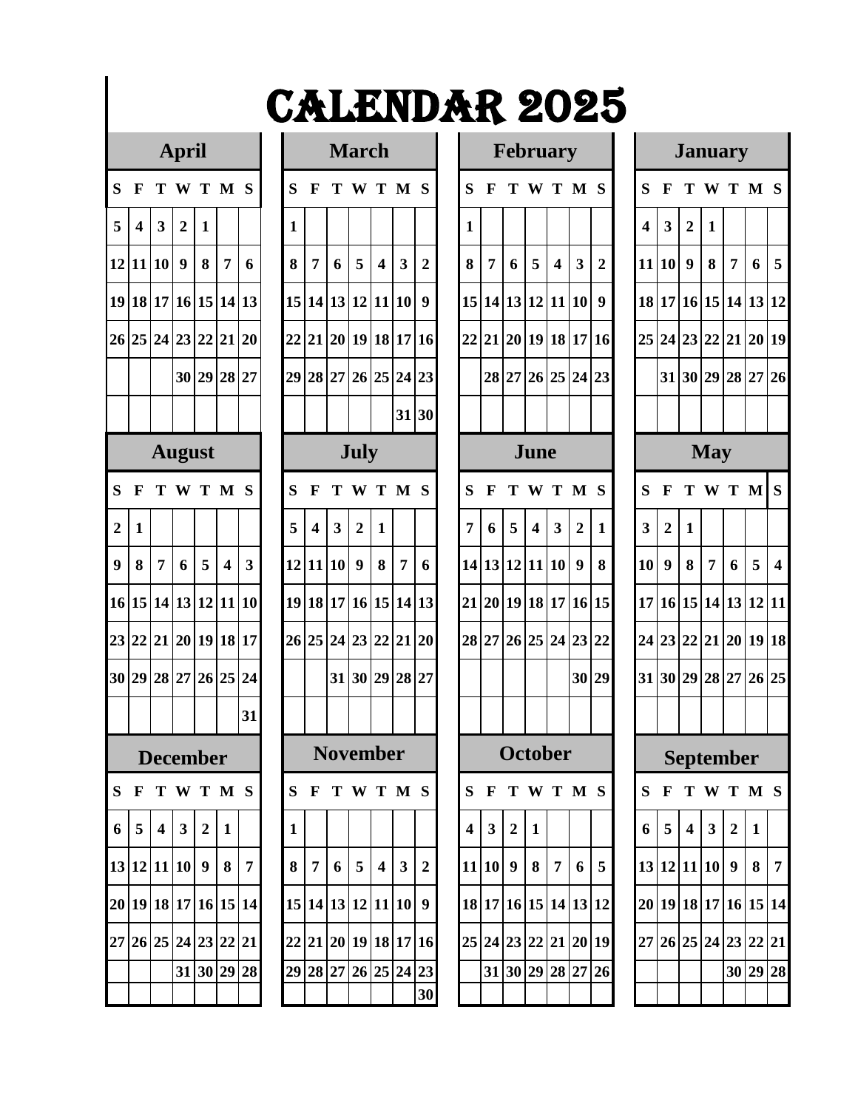|                         |              |                         | $\mathbf{r}$            |                  |                         |    |
|-------------------------|--------------|-------------------------|-------------------------|------------------|-------------------------|----|
| S                       | F            | T                       | W                       | T                | M                       | S  |
| 5                       | 4            | 3                       | $\overline{\mathbf{c}}$ | $\mathbf{1}$     |                         |    |
| 12                      | 11           | 10                      | 9                       | 8                | 7                       | 6  |
| 19                      | 18           | 17                      | 16                      | 15               | 14                      | 13 |
| 26                      | 25           | 24                      | 23 22                   |                  | 21                      | 20 |
|                         |              |                         |                         | 30 29 28         |                         | 27 |
|                         |              |                         |                         |                  |                         |    |
|                         |              |                         | August                  |                  |                         |    |
| S                       | F            | T                       | W T                     |                  | M                       | S  |
| $\boldsymbol{2}$        | $\mathbf{1}$ |                         |                         |                  |                         |    |
| 9                       | 8            | 7                       | 6                       | $\sqrt{5}$       | $\overline{\mathbf{4}}$ | 3  |
| 16                      | 15           | 14                      | 13                      | 12               | 11                      | 10 |
| 23                      | 22           | 21                      | 20                      | <b>19</b>        | 18                      | 17 |
| 30                      | 29           | 28                      | 27 26                   |                  | 25                      | 24 |
|                         |              |                         |                         |                  |                         | 31 |
|                         |              | December                |                         |                  |                         |    |
| $\overline{\mathbf{S}}$ | F            | T                       | W                       | T                | $\overline{\mathbf{M}}$ | S  |
| 6                       | 5            | $\overline{\mathbf{4}}$ | $\overline{\mathbf{3}}$ | $\overline{2}$   | $\mathbf{1}$            |    |
| 13                      | 12           | 11                      | 10                      | $\boldsymbol{9}$ | 8                       | 7  |
| 20                      | 19           | 18                      | 17                      | 16               | 15                      | 14 |
| 27                      | 26           | 25                      | 24                      | 23               | 22                      | 21 |
|                         |              |                         | 31                      | 30               | 29                      | 28 |
|                         |              |                         |                         |                  |                         |    |

|                 |                         |                         | <b>March</b>     |                         |                    |                  |
|-----------------|-------------------------|-------------------------|------------------|-------------------------|--------------------|------------------|
| S               | $\mathbf{F}$            | T                       | W                | T                       | $\mathbf{M}$       | S                |
| $\mathbf{1}$    |                         |                         |                  |                         |                    |                  |
| $\bf{8}$        | $\overline{7}$          | 6                       | ${\bf 5}$        | $\overline{\mathbf{4}}$ | $\mathbf{3}$       | $\boldsymbol{2}$ |
| 15              | 14                      | 13                      | 12               | 11                      | 10                 | $\overline{9}$   |
| 22              | 21                      |                         | 20 19 18         |                         | 17                 | 16               |
| 29              |                         |                         | 28 27 26 25 24   |                         |                    | 23               |
|                 |                         |                         |                  |                         | 31                 | 30               |
|                 |                         |                         | <b>July</b>      |                         |                    |                  |
| S               | F                       | T                       | W T              |                         | M                  | <sub>S</sub>     |
| 5               | $\overline{\mathbf{4}}$ | $\overline{\mathbf{3}}$ | $\overline{2}$   | $\mathbf{1}$            |                    |                  |
| 12              | 11                      | 10                      | $\boldsymbol{9}$ | $\bf 8$                 | $\overline{\bf 7}$ | 6                |
| 19              | 18                      | 17                      | 16               | 15                      | 14                 | 13               |
| 26              | 25                      | 24                      | 23               | 22                      | 21                 | 20               |
|                 |                         | 31                      | 30               | 29                      | 28                 | 27               |
|                 |                         |                         |                  |                         |                    |                  |
|                 |                         |                         | <b>November</b>  |                         |                    |                  |
| S               | F                       | Т                       | W                | Т                       | $\mathbf{M}$       | S                |
| $\mathbf{1}$    |                         |                         |                  |                         |                    |                  |
| 8               | 7                       | 6                       | 5                | 4                       | 3                  | $\overline{c}$   |
| 15              | 14                      | 13                      | 12               | 11                      | 10                 | 9                |
| $\overline{22}$ | 21                      | 20                      | 19               | 18                      | 17                 | 16               |
| 29              | 28                      | 27                      | 26               | 25                      | 24                 | 23               |
|                 |                         |                         |                  |                         |                    | 30               |

|                  |                         |                | <b>April</b>     |                                  |     |                      |    |                     |                | <b>March</b>   |                         |                         |                      |              |             | <b>February</b>      |                         |                  |                |                |                 |                | <b>January</b>             |                 |                |           |                         |
|------------------|-------------------------|----------------|------------------|----------------------------------|-----|----------------------|----|---------------------|----------------|----------------|-------------------------|-------------------------|----------------------|--------------|-------------|----------------------|-------------------------|------------------|----------------|----------------|-----------------|----------------|----------------------------|-----------------|----------------|-----------|-------------------------|
| S F              |                         |                |                  | TWTMS                            |     |                      | S. | $\mathbf{F}$        |                |                | TWTMS                   |                         |                      | <sub>S</sub> | $\mathbf F$ |                      |                         |                  | TWTMS          |                | S               | $\mathbf{F}$   | TWTMS                      |                 |                |           |                         |
| 5                | $\overline{\mathbf{4}}$ | $\mathbf{3}$   | $\overline{2}$   | 1                                |     |                      | 1  |                     |                |                |                         |                         |                      | 1            |             |                      |                         |                  |                |                | 4               | 3 <sup>1</sup> | $\overline{2}$             | 1               |                |           |                         |
|                  |                         | 12 11 10       | $\boldsymbol{9}$ | 8                                | 7   | 6                    | 8  | 7                   | 6              | 5              | 4                       | $\overline{\mathbf{3}}$ | $\overline{2}$       | 8            | 7           | 6                    | 5                       | $\boldsymbol{4}$ | $\mathbf{3}$   | $\overline{2}$ |                 | 11 10          | 9                          | 8               | 7              | 6         | $\overline{5}$          |
|                  |                         |                |                  | 19 18 17 16 15 14 13             |     |                      |    | 15 14 13 12 11 10   |                |                |                         |                         | 9                    |              |             | 15 14 13 12 11 10    |                         |                  |                | 9              |                 |                | 18 17 16 15 14 13 12       |                 |                |           |                         |
|                  |                         |                |                  | 26 25 24 23 22 21 20             |     |                      |    |                     |                |                |                         |                         | 22 21 20 19 18 17 16 |              |             | 22 21 20 19 18 17 16 |                         |                  |                |                |                 |                | 25 24 23 22 21 20 19       |                 |                |           |                         |
|                  |                         |                |                  | 30 29 28                         |     | 27                   |    |                     |                |                |                         |                         | 29 28 27 26 25 24 23 |              |             | 28 27 26 25 24 23    |                         |                  |                |                |                 |                | 31 30 29 28 27 26          |                 |                |           |                         |
|                  |                         |                |                  |                                  |     |                      |    |                     |                |                |                         |                         | 31 30                |              |             |                      |                         |                  |                |                |                 |                |                            |                 |                |           |                         |
|                  |                         |                |                  | <b>August</b>                    |     |                      |    |                     |                | <b>July</b>    |                         |                         |                      |              |             |                      | June                    |                  |                |                |                 |                |                            | <b>May</b>      |                |           |                         |
| S                | $\mathbf F$             |                |                  | TWTMS                            |     |                      | S  | $\mathbf F$         |                |                | TWTMS                   |                         |                      | S            | $\mathbf F$ |                      |                         |                  | T W T M S      |                | S               | F              |                            |                 |                | T W T M S |                         |
| $\boldsymbol{2}$ | 1                       |                |                  |                                  |     |                      | 5  | 4                   | $\mathbf{3}$   | $\overline{2}$ | 1                       |                         |                      | 7            | 6           | 5                    | $\overline{\mathbf{4}}$ | 3                | $\overline{2}$ | $\mathbf{1}$   | 3               | $\overline{2}$ | 1                          |                 |                |           |                         |
| 9 <sup>1</sup>   | 8                       | $\overline{7}$ | 6                | 5                                | 4   | 3                    |    | 12 11 10            |                | 9              | 8                       | $\overline{7}$          | 6                    |              |             | 14 13 12 11 10       |                         |                  | 9              | 8              | 10 <sup>1</sup> | $\mathbf{Q}$   | 8                          | $\overline{7}$  | 6              | 5         | $\overline{\mathbf{4}}$ |
|                  |                         |                |                  | 16 15 14 13 12 11 10             |     |                      |    |                     |                |                |                         |                         | 19 18 17 16 15 14 13 |              |             | 21 20 19 18 17 16 15 |                         |                  |                |                |                 |                | 17 16 15 14 13 12 11       |                 |                |           |                         |
|                  |                         |                |                  | 23 22 21 20 19 18 17             |     |                      |    |                     |                |                |                         |                         | 26 25 24 23 22 21 20 |              |             | 28 27 26 25 24 23 22 |                         |                  |                |                |                 |                | 24 23 22 21 20 19 18       |                 |                |           |                         |
|                  |                         |                |                  | 30 29 28 27 26 25 24             |     |                      |    |                     |                |                | 31 30 29 28 27          |                         |                      |              |             |                      |                         |                  | 30 29          |                |                 |                | 31 30 29 28 27 26 25       |                 |                |           |                         |
|                  |                         |                |                  |                                  |     | 31                   |    |                     |                |                |                         |                         |                      |              |             |                      |                         |                  |                |                |                 |                |                            |                 |                |           |                         |
|                  |                         |                |                  | <b>December</b>                  |     |                      |    |                     |                |                | <b>November</b>         |                         |                      |              |             | October              |                         |                  |                |                |                 |                | September                  |                 |                |           |                         |
|                  |                         |                |                  |                                  |     | S F T W T M S        |    |                     |                |                |                         |                         | S F T W T M S        |              |             | S F T W T M S        |                         |                  |                |                |                 |                | S F T W T M S              |                 |                |           |                         |
|                  | $6 \mid 5$              | $\vert$ 4      | 3 <sup>1</sup>   |                                  | 2 1 |                      | 1  |                     |                |                |                         |                         |                      |              | $4 \mid 3$  | 2 1                  |                         |                  |                |                | 6               | 5 <sup>1</sup> |                            | $4 \mid 3 \mid$ | $\overline{2}$ | 1         |                         |
|                  |                         |                |                  | 13 12 11 10 9 8                  |     | $\overline{7}$       |    | 8 7                 | 6 <sup>1</sup> | 5 <sup>1</sup> | $\overline{\mathbf{4}}$ | 3 <sup>1</sup>          | $\sqrt{2}$           |              |             | 11 10 9 8 7          |                         |                  | 6              | $\overline{5}$ |                 |                | 13 12 11 10 9 8 7          |                 |                |           |                         |
|                  |                         |                |                  |                                  |     | 20 19 18 17 16 15 14 |    | 15 14 13 12 11 10 9 |                |                |                         |                         |                      |              |             | 18 17 16 15 14 13 12 |                         |                  |                |                |                 |                | 20  19  18  17  16  15  14 |                 |                |           |                         |
|                  |                         |                |                  | 27   26   25   24   23   22   21 |     |                      |    |                     |                |                |                         |                         | 22 21 20 19 18 17 16 |              |             | 25 24 23 22 21 20 19 |                         |                  |                |                |                 |                | 27 26 25 24 23 22 21       |                 |                |           |                         |
|                  |                         |                |                  | 31 30 29 28                      |     |                      |    |                     |                |                |                         |                         | 29 28 27 26 25 24 23 |              |             | 31 30 29 28 27 26    |                         |                  |                |                |                 |                |                            |                 |                | 30 29 28  |                         |
|                  |                         |                |                  |                                  |     |                      |    |                     |                |                |                         |                         | 30                   |              |             |                      |                         |                  |                |                |                 |                |                            |                 |                |           |                         |

|                         |                                   |                         |                | <b>January</b> |                 |                         |  |  |  |  |  |  |  |  |  |
|-------------------------|-----------------------------------|-------------------------|----------------|----------------|-----------------|-------------------------|--|--|--|--|--|--|--|--|--|
| S                       | F                                 | T                       | W              | T              | $\mathbf{M}$    | S                       |  |  |  |  |  |  |  |  |  |
| $\overline{\mathbf{4}}$ | $\overline{\mathbf{3}}$           | $\overline{\mathbf{c}}$ | $\mathbf{1}$   |                |                 |                         |  |  |  |  |  |  |  |  |  |
| 11                      | $\overline{10}$                   | $\boldsymbol{9}$        | 8              | 7              | 6               | 5                       |  |  |  |  |  |  |  |  |  |
| 18                      | 17                                | 16                      | 15             | 14             | 13              | 12                      |  |  |  |  |  |  |  |  |  |
| $25\,$                  | 23<br>22<br>24<br>21<br>19<br>20  |                         |                |                |                 |                         |  |  |  |  |  |  |  |  |  |
|                         | 29<br>30<br>28<br>31<br>27<br>26  |                         |                |                |                 |                         |  |  |  |  |  |  |  |  |  |
|                         |                                   |                         |                |                |                 |                         |  |  |  |  |  |  |  |  |  |
|                         |                                   |                         | <b>May</b>     |                |                 |                         |  |  |  |  |  |  |  |  |  |
| S                       | S<br>$\bf{M}$<br>F<br>W<br>T<br>T |                         |                |                |                 |                         |  |  |  |  |  |  |  |  |  |
| $\overline{\mathbf{3}}$ | $\overline{2}$                    | $\mathbf{1}$            |                |                |                 |                         |  |  |  |  |  |  |  |  |  |
| 10                      | 9                                 | 8                       | 7              | 6              | 5               | $\overline{\mathbf{4}}$ |  |  |  |  |  |  |  |  |  |
| 17                      | 16                                | 15                      | 14             | 13             | 12              | 11                      |  |  |  |  |  |  |  |  |  |
| $\overline{24}$         | $\overline{23}$                   | 22                      | 21             | 20             | 19              | 18                      |  |  |  |  |  |  |  |  |  |
| 31                      | 30                                | 29                      | 28             | 27             | 26              | 25                      |  |  |  |  |  |  |  |  |  |
|                         |                                   |                         |                |                |                 |                         |  |  |  |  |  |  |  |  |  |
|                         | Se                                | ŧ.                      | Ò              | ŀ              |                 |                         |  |  |  |  |  |  |  |  |  |
| S                       | F                                 | Т                       | Ñ              | Т              | $\mathbf{M}$    | S                       |  |  |  |  |  |  |  |  |  |
| 6                       | 5                                 | 4                       | $\overline{3}$ | $\overline{2}$ | 1               |                         |  |  |  |  |  |  |  |  |  |
| 13                      | 12                                | 11                      | 10             | 9              | 8               | 7                       |  |  |  |  |  |  |  |  |  |
| 20                      | 19                                | 18                      | 17             | 16             | 15              | 14                      |  |  |  |  |  |  |  |  |  |
| 27                      | 26                                | 25                      | 24             | 23             | $\overline{22}$ | 21                      |  |  |  |  |  |  |  |  |  |
|                         |                                   |                         |                | 30             | 29              | $\overline{28}$         |  |  |  |  |  |  |  |  |  |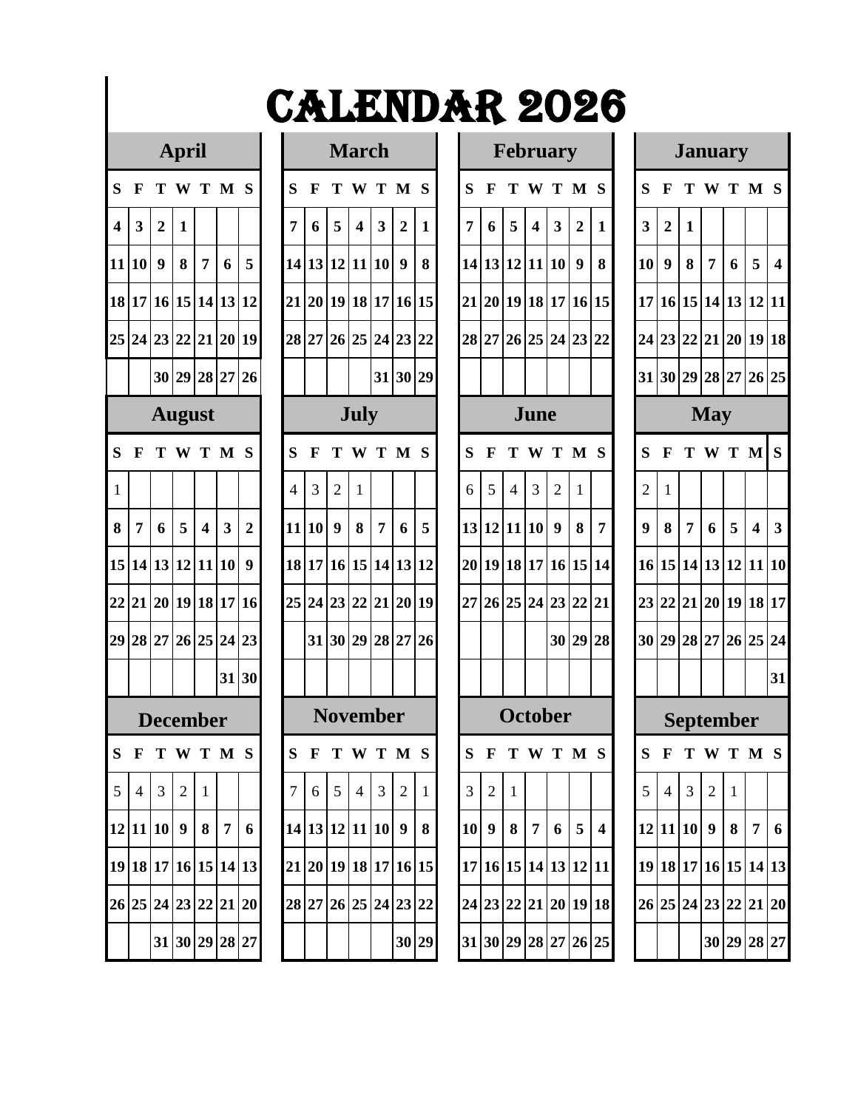### **April March**

|                         | т                       |                         |                |                 |                 |                  |  |  |  |  |  |  |  |  |
|-------------------------|-------------------------|-------------------------|----------------|-----------------|-----------------|------------------|--|--|--|--|--|--|--|--|
| S                       | F                       | T                       | W              | T               | $\mathbf{M}$    | S                |  |  |  |  |  |  |  |  |
| $\overline{\mathbf{4}}$ | $\overline{\mathbf{3}}$ | $\boldsymbol{2}$        | $\mathbf{1}$   |                 |                 |                  |  |  |  |  |  |  |  |  |
| 11                      | 10                      | $\overline{\mathbf{9}}$ | 8              | $\overline{7}$  | $\vert 6 \vert$ | 5                |  |  |  |  |  |  |  |  |
| 18                      | $17\text{ }$            | 16                      |                | 15 14 13        |                 | 12               |  |  |  |  |  |  |  |  |
| 25                      |                         | 24 23 22 21 20          |                |                 |                 | 19               |  |  |  |  |  |  |  |  |
|                         |                         | 30   29   28   27   26  |                |                 |                 |                  |  |  |  |  |  |  |  |  |
|                         |                         |                         | August         |                 |                 |                  |  |  |  |  |  |  |  |  |
| S                       | F                       | T                       | W              | T               | $\mathbf{M}$    | S                |  |  |  |  |  |  |  |  |
| $\mathbf{1}$            |                         |                         |                |                 |                 |                  |  |  |  |  |  |  |  |  |
| 8                       | $\overline{7}$          | $\vert 6 \vert$         | $5 \mid 4$     |                 | $\vert 3 \vert$ | $\boldsymbol{2}$ |  |  |  |  |  |  |  |  |
| 15                      |                         | 14 13                   | 12 11          |                 | 10              | 9                |  |  |  |  |  |  |  |  |
| $\overline{22}$         | 21                      | 20                      | 19             | 18              | 17              | 16               |  |  |  |  |  |  |  |  |
| 29                      | 28                      | 27 26                   |                | 25 24           |                 | 23               |  |  |  |  |  |  |  |  |
|                         |                         |                         |                |                 | 31              | 30               |  |  |  |  |  |  |  |  |
|                         |                         | <b>)ecember</b>         |                |                 |                 |                  |  |  |  |  |  |  |  |  |
| S                       | F                       | Т                       | W              | T               | M               | S                |  |  |  |  |  |  |  |  |
| 5                       | $\overline{4}$          | 3                       | $\overline{c}$ | $\mathbf 1$     |                 |                  |  |  |  |  |  |  |  |  |
| 12                      | 11                      | 10                      | 9              | 8               | 7               | 6                |  |  |  |  |  |  |  |  |
| 19                      | 18                      | 17                      | 16             | 15              | 14              | 13               |  |  |  |  |  |  |  |  |
| 26                      | 25                      | 24                      | 23             | $\overline{22}$ | 21              | 20               |  |  |  |  |  |  |  |  |
|                         |                         | 31                      | 30             | 29              | 28              | 27               |  |  |  |  |  |  |  |  |

|                                                       |                                            |       | <b>March</b>            |                 |                 |                 |  |  |  |  |  |  |  |  |  |
|-------------------------------------------------------|--------------------------------------------|-------|-------------------------|-----------------|-----------------|-----------------|--|--|--|--|--|--|--|--|--|
| S                                                     | F                                          | T     | W                       | T               | M               | S               |  |  |  |  |  |  |  |  |  |
| $\overline{7}$                                        | 6                                          | 5     | $\overline{\mathbf{4}}$ | 3               | $\overline{2}$  | $\mathbf{1}$    |  |  |  |  |  |  |  |  |  |
| 14                                                    | 13                                         | 12    | 11                      | 10              | 9               | 8               |  |  |  |  |  |  |  |  |  |
| 21                                                    | 20                                         | 19 18 |                         | 17              | 16              | 15              |  |  |  |  |  |  |  |  |  |
| 28                                                    | 27                                         |       |                         | 26 25 24        | 23              | $\overline{22}$ |  |  |  |  |  |  |  |  |  |
|                                                       | 29<br>30<br>31                             |       |                         |                 |                 |                 |  |  |  |  |  |  |  |  |  |
| July                                                  |                                            |       |                         |                 |                 |                 |  |  |  |  |  |  |  |  |  |
| S                                                     | F<br>T<br>M<br>S<br>T<br>W                 |       |                         |                 |                 |                 |  |  |  |  |  |  |  |  |  |
| $\overline{c}$<br>3<br>$\mathbf{1}$<br>$\overline{4}$ |                                            |       |                         |                 |                 |                 |  |  |  |  |  |  |  |  |  |
| 11                                                    | $\boldsymbol{9}$<br>10<br>8<br>5<br>7<br>6 |       |                         |                 |                 |                 |  |  |  |  |  |  |  |  |  |
| 18                                                    | 15<br>17<br>14<br>13<br>12<br>16           |       |                         |                 |                 |                 |  |  |  |  |  |  |  |  |  |
| 25                                                    | 24                                         | 23    | 22                      | 21              | 20              | 19              |  |  |  |  |  |  |  |  |  |
|                                                       | 31                                         | 30    | 29                      | 28              | 27              | 26              |  |  |  |  |  |  |  |  |  |
|                                                       |                                            |       |                         |                 |                 |                 |  |  |  |  |  |  |  |  |  |
|                                                       |                                            |       |                         | <b>November</b> |                 |                 |  |  |  |  |  |  |  |  |  |
| S                                                     | $\mathbf{F}$                               | T     | W                       | T               | M               | S               |  |  |  |  |  |  |  |  |  |
| $\overline{7}$                                        | 6                                          | 5     | $\overline{4}$          | 3               | $\overline{c}$  | $\mathbf 1$     |  |  |  |  |  |  |  |  |  |
| 14                                                    | 13                                         | 12    | 11                      | 10              | 9               | 8               |  |  |  |  |  |  |  |  |  |
| 21                                                    | 20                                         | 19    | 18                      | 17              | 16              | 15              |  |  |  |  |  |  |  |  |  |
| 28                                                    | 27                                         | 26    | 25                      | $\overline{24}$ | $\overline{23}$ | $\overline{22}$ |  |  |  |  |  |  |  |  |  |
|                                                       |                                            |       |                         |                 | 30              | 29              |  |  |  |  |  |  |  |  |  |

|                         |                |                      | April          |                  |                         |                      |                |              |                  | <b>March</b>   |                         |                |                 |                |                | <b>February</b>      |                         |                         |                |                         |                         |                      |                |                | <b>January</b>   |                  |                         |
|-------------------------|----------------|----------------------|----------------|------------------|-------------------------|----------------------|----------------|--------------|------------------|----------------|-------------------------|----------------|-----------------|----------------|----------------|----------------------|-------------------------|-------------------------|----------------|-------------------------|-------------------------|----------------------|----------------|----------------|------------------|------------------|-------------------------|
|                         | S F            |                      | TWTMS          |                  |                         |                      | S              | $\mathbf F$  |                  |                | T W T M S               |                |                 | S              | $\mathbf{F}$   |                      |                         | TWTMS                   |                |                         | S                       | $\mathbf{F}$         |                |                | TWTMS            |                  |                         |
| $\overline{\mathbf{4}}$ | $\mathbf{3}$   | $\overline{2}$       | 1              |                  |                         |                      | 7              | 6            | 5                | 4              | $\overline{\mathbf{3}}$ | $\overline{2}$ | 1               | 7              | 6              | 5                    | $\overline{\mathbf{4}}$ | $\overline{\mathbf{3}}$ | $\overline{2}$ | 1                       | $\overline{\mathbf{3}}$ | $\overline{2}$       | 1              |                |                  |                  |                         |
|                         | 11 10          | $\boldsymbol{9}$     | 8              | $\overline{7}$   | 6                       | 5                    |                |              |                  |                | 14 13 12 11 10          | 9              | 8               |                |                | 14 13 12 11 10       |                         |                         | 9              | 8                       | 10                      | 9                    | 8              | $\overline{7}$ | 6                | 5                | $\overline{\mathbf{4}}$ |
|                         |                | 18 17 16 15 14 13 12 |                |                  |                         |                      |                |              |                  |                | 21 20 19 18 17 16 15    |                |                 |                |                | 21 20 19 18 17 16 15 |                         |                         |                |                         |                         | 17 16 15 14 13 12 11 |                |                |                  |                  |                         |
|                         |                | 25 24 23 22 21 20 19 |                |                  |                         |                      |                |              |                  |                | 28 27 26 25 24 23 22    |                |                 |                |                | 28 27 26 25 24 23 22 |                         |                         |                |                         |                         | 24 23 22 21 20 19 18 |                |                |                  |                  |                         |
|                         |                |                      | 30 29 28 27 26 |                  |                         |                      |                |              |                  |                |                         | 31 30 29       |                 |                |                |                      |                         |                         |                |                         |                         | 31 30 29 28 27 26 25 |                |                |                  |                  |                         |
|                         |                |                      | <b>August</b>  |                  |                         |                      |                |              |                  | July           |                         |                |                 |                |                |                      | June                    |                         |                |                         |                         |                      |                | <b>May</b>     |                  |                  |                         |
| S.                      | $\mathbf{F}$   |                      | T W T M S      |                  |                         |                      | S              | $\mathbf F$  | т                |                | W T M S                 |                |                 | S              | $\mathbf F$    |                      |                         | T W T M S               |                |                         | S                       | F                    |                |                | T W T M S        |                  |                         |
| $\mathbf{1}$            |                |                      |                |                  |                         |                      | $\overline{4}$ | 3            | $\overline{2}$   | 1              |                         |                |                 | 6              | 5              | $\overline{4}$       | 3                       | $\overline{2}$          | 1              |                         | $\overline{2}$          | 1                    |                |                |                  |                  |                         |
| 8                       | $\overline{7}$ | 6                    | 5              | $\boldsymbol{4}$ | $\overline{\mathbf{3}}$ | $\overline{2}$       |                | 11 10        | $\boldsymbol{9}$ | 8              | $\overline{7}$          | 6              | 5               |                |                | 13 12 11 10          |                         | $\boldsymbol{9}$        | 8              | 7                       | $\boldsymbol{9}$        | 8                    | $\overline{7}$ | 6              | 5                | $\boldsymbol{4}$ | $\overline{\mathbf{3}}$ |
|                         |                | 15 14 13 12 11 10    |                |                  |                         | $\boldsymbol{9}$     |                |              |                  |                | 18 17 16 15 14 13 12    |                |                 |                |                | 20 19 18 17 16 15 14 |                         |                         |                |                         |                         | 16 15 14 13 12 11 10 |                |                |                  |                  |                         |
|                         |                | 22 21 20 19 18 17 16 |                |                  |                         |                      |                |              |                  |                | 25 24 23 22 21 20 19    |                |                 |                |                | 27 26 25 24 23 22 21 |                         |                         |                |                         |                         | 23 22 21 20 19 18 17 |                |                |                  |                  |                         |
|                         |                | 29 28 27 26 25 24 23 |                |                  |                         |                      |                |              |                  |                | 31 30 29 28 27 26       |                |                 |                |                |                      |                         |                         | 30 29 28       |                         |                         | 30 29 28 27 26 25 24 |                |                |                  |                  |                         |
|                         |                |                      |                |                  |                         | 31 30                |                |              |                  |                |                         |                |                 |                |                |                      |                         |                         |                |                         |                         |                      |                |                |                  |                  | 31                      |
|                         |                | <b>December</b>      |                |                  |                         |                      |                |              |                  |                | <b>November</b>         |                |                 |                |                | <b>October</b>       |                         |                         |                |                         |                         |                      |                |                | <b>September</b> |                  |                         |
|                         | S F            |                      | TWTMS          |                  |                         |                      | S              | $\mathbf{F}$ |                  |                | T W T M S               |                |                 | S              | $\mathbf{F}$   | TWTMS                |                         |                         |                |                         | S                       | $\mathbf{F}$         |                |                | TWTMS            |                  |                         |
|                         | $5 \mid 4$     | 3                    | 2              | -1               |                         |                      | $\tau$         | 6            | $5\overline{)}$  | $\overline{4}$ | $\mathfrak{Z}$          | 2              | $\vert 1 \vert$ | 3 <sup>1</sup> | $\overline{2}$ | -1                   |                         |                         |                |                         | 5                       | $\overline{4}$       | 3              | 2              | $\mathbf{1}$     |                  |                         |
|                         |                | 12 11 10 9           |                |                  | $8 \mid 7$              | 6                    |                |              |                  |                | 14 13 12 11 10 9 8      |                |                 |                | 10 9           | 8 7                  |                         | 6 <sup>1</sup>          | 5 <sup>5</sup> | $\overline{\mathbf{4}}$ |                         | 12 11 10 9           |                |                | 8                |                  | 7 6                     |
|                         |                | 19 18 17 16 15 14 13 |                |                  |                         |                      |                |              |                  |                | 21 20 19 18 17 16 15    |                |                 |                |                | 17 16 15 14 13 12 11 |                         |                         |                |                         |                         | 19 18 17 16 15 14 13 |                |                |                  |                  |                         |
|                         |                |                      |                |                  |                         | 26 25 24 23 22 21 20 |                |              |                  |                | 28 27 26 25 24 23 22    |                |                 |                |                | 24 23 22 21 20 19 18 |                         |                         |                |                         |                         | 26 25 24 23 22 21 20 |                |                |                  |                  |                         |
|                         |                |                      | 31 30 29 28 27 |                  |                         |                      |                |              |                  |                |                         |                | 30 29           |                |                | 31 30 29 28 27 26 25 |                         |                         |                |                         |                         |                      |                |                | 30 29 28 27      |                  |                         |
|                         |                |                      |                |                  |                         |                      |                |              |                  |                |                         |                |                 |                |                |                      |                         |                         |                |                         |                         |                      |                |                |                  |                  |                         |

|                         |                                           |                 |                 | <b>January</b>  |                         |                         |  |  |  |  |  |  |  |  |  |
|-------------------------|-------------------------------------------|-----------------|-----------------|-----------------|-------------------------|-------------------------|--|--|--|--|--|--|--|--|--|
| S                       | F                                         | T               | W               | T               | $\mathbf{M}$            | S                       |  |  |  |  |  |  |  |  |  |
| $\overline{\mathbf{3}}$ | $\overline{\mathbf{c}}$                   | 1               |                 |                 |                         |                         |  |  |  |  |  |  |  |  |  |
| 10                      | 9                                         | 8               | 7               | 6               | 5                       | $\overline{\mathbf{4}}$ |  |  |  |  |  |  |  |  |  |
| 17                      | 15 14 13<br>12<br>16<br>11<br>22 21 20 19 |                 |                 |                 |                         |                         |  |  |  |  |  |  |  |  |  |
| 24                      | 23                                        |                 |                 |                 |                         | 18                      |  |  |  |  |  |  |  |  |  |
| 31                      |                                           |                 |                 |                 |                         | 25                      |  |  |  |  |  |  |  |  |  |
|                         | 30 29 28 27 26<br><b>May</b>              |                 |                 |                 |                         |                         |  |  |  |  |  |  |  |  |  |
| S                       | F                                         | T               | W               | T               | $\mathbf{M}$            | S                       |  |  |  |  |  |  |  |  |  |
| $\overline{c}$          | $\mathbf{1}$                              |                 |                 |                 |                         |                         |  |  |  |  |  |  |  |  |  |
| 9                       | 8                                         | $\overline{7}$  | 6               | 5               | $\overline{\mathbf{4}}$ | 3                       |  |  |  |  |  |  |  |  |  |
| 16                      | 15                                        | 14 13 12        |                 |                 | 11                      | 10                      |  |  |  |  |  |  |  |  |  |
| 23                      | 22                                        |                 |                 | 21 20 19 18     |                         | 17                      |  |  |  |  |  |  |  |  |  |
| 30                      | 29                                        | 28              |                 | 27 26 25        |                         | 24                      |  |  |  |  |  |  |  |  |  |
|                         |                                           |                 |                 |                 |                         | 31                      |  |  |  |  |  |  |  |  |  |
|                         |                                           |                 |                 | September       |                         |                         |  |  |  |  |  |  |  |  |  |
| S                       | F                                         | T               | W               | $\bf{T}$        | $\mathbf M$             | $\mathbf S$             |  |  |  |  |  |  |  |  |  |
| 5                       | $\overline{4}$                            | 3               | $\overline{2}$  | $\mathbf{1}$    |                         |                         |  |  |  |  |  |  |  |  |  |
| 12                      | 11                                        | 10              | 9               | 8               | 7                       | 6                       |  |  |  |  |  |  |  |  |  |
| 19                      | 18                                        | 17              | 16              | 15              | 14                      | 13                      |  |  |  |  |  |  |  |  |  |
| 26                      | 25                                        | $\overline{24}$ | $\overline{23}$ | $\overline{22}$ | 21                      | 20                      |  |  |  |  |  |  |  |  |  |
|                         |                                           |                 |                 | 30 29 28        |                         | 27                      |  |  |  |  |  |  |  |  |  |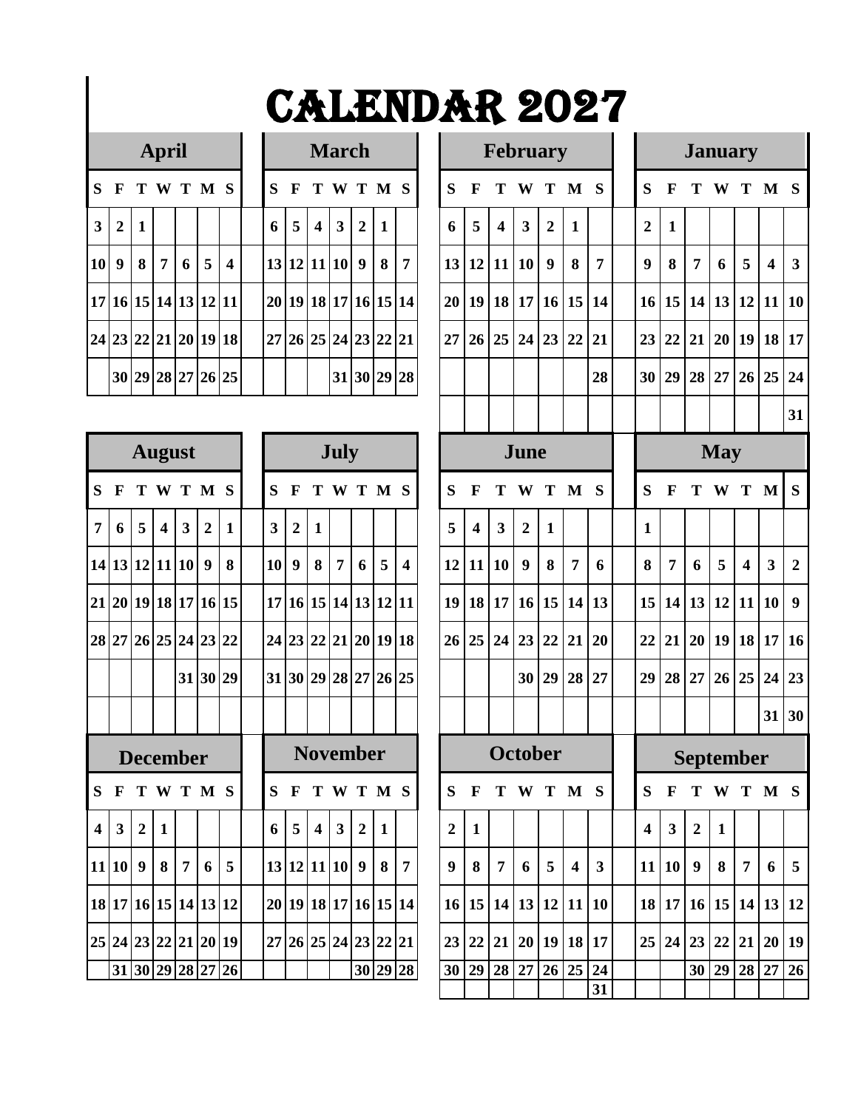|              |                      |                   | <b>April</b>   |   |           |                  |   |              |                         | <b>March</b>         |                |              |                |                 |              |                         |                         | <b>February</b> |              |           |                  |                 |
|--------------|----------------------|-------------------|----------------|---|-----------|------------------|---|--------------|-------------------------|----------------------|----------------|--------------|----------------|-----------------|--------------|-------------------------|-------------------------|-----------------|--------------|-----------|------------------|-----------------|
| S            | F                    |                   |                |   | T W T M S |                  | S | $\mathbf{F}$ |                         | T W T M S            |                |              |                | S               | $\mathbf{F}$ | T                       | W                       |                 | T M S        |           | S                | $\mathbf{F}$    |
| $\mathbf{3}$ | $\overline{2}$       | 1                 |                |   |           |                  | 6 | 5            | $\overline{\mathbf{4}}$ | 3 <sup>1</sup>       | $\overline{2}$ | $\mathbf{1}$ |                | 6               | 5            | $\overline{\mathbf{4}}$ | $\overline{\mathbf{3}}$ | $\overline{2}$  | $\mathbf{1}$ |           | $\overline{2}$   | $\vert$ 1       |
| 10 9         |                      | 8                 | $\overline{7}$ | 6 | 5         | $\boldsymbol{4}$ |   |              |                         | 13 12 11 10 9        |                | 8            | $\overline{7}$ |                 | 13 12 11 10  |                         |                         | 9               | 8            | 7         | $\boldsymbol{Q}$ | 8               |
|              | 17 16 15 14 13 12 11 |                   |                |   |           |                  |   |              |                         | 20 19 18 17 16 15 14 |                |              |                | 20 <sup>1</sup> |              |                         |                         | 19 18 17 16 15  |              | <b>14</b> | 16 13            |                 |
|              | 24 23 22 21 20 19 18 |                   |                |   |           |                  |   |              |                         | 27 26 25 24 23 22 21 |                |              |                | 27              |              |                         |                         | 26 25 24 23 22  |              | <b>21</b> | 23               | $\overline{2}$  |
|              |                      | 30 29 28 27 26 25 |                |   |           |                  |   |              |                         |                      |                |              | 31 30 29 28    |                 |              |                         |                         |                 |              | 28        | 30               | $\frac{129}{2}$ |

|                         |                      | <b>August</b>    |                  |   |                   |    |                 |                  |                         | <b>July</b>          |                  |              |                       |                  |                         |                | June             |                |                  |              |                 |                         |                  | Ma             |
|-------------------------|----------------------|------------------|------------------|---|-------------------|----|-----------------|------------------|-------------------------|----------------------|------------------|--------------|-----------------------|------------------|-------------------------|----------------|------------------|----------------|------------------|--------------|-----------------|-------------------------|------------------|----------------|
| S                       | F                    |                  |                  |   | T W T M S         |    | S               | F                | T                       | W T M                |                  |              | S                     | S                | F                       | Т              | W                | T              | M                | S            | S               | F                       | T                | $\mathbf w$    |
| 7                       | 6                    | 5                | $\boldsymbol{4}$ | 3 | $\overline{2}$    | 1  | 3               | $\overline{2}$   | 1                       |                      |                  |              |                       | 5                | $\overline{\mathbf{4}}$ | 3              | $\overline{2}$   | $\mathbf{1}$   |                  |              | $\mathbf{1}$    |                         |                  |                |
|                         | 14 13 12 11 10       |                  |                  |   | 9                 | 8  | 10 <sup>1</sup> | $\boldsymbol{q}$ | 8                       | 7                    | 6                | 5            | $\boldsymbol{\Delta}$ | 12               | 11                      | 10             | $\boldsymbol{9}$ | 8              | 7                | 6            | 8               | $\overline{7}$          | 6                | 5              |
| 21                      |                      |                  |                  |   | 20 19 18 17 16 15 |    |                 |                  |                         |                      |                  |              | 17 16 15 14 13 12 11  | 19               |                         |                |                  | 18 17 16 15 14 |                  | 13           | 15              | 14                      | 13 12            |                |
|                         | 28 27 26 25 24 23 22 |                  |                  |   |                   |    |                 | 24 23 22         |                         |                      | 21 20 19 18      |              |                       | 26               | 25                      | 24             | 23               | 22             | 21               | 20           | 22              | 21                      | 20 19            |                |
|                         |                      |                  |                  |   | 31 30 29          |    |                 |                  |                         | 31 30 29 28 27 26 25 |                  |              |                       |                  |                         |                | 30 <sup>°</sup>  | 29             | 28               | 27           | 29              | 28                      | 27 <sup>1</sup>  | 2 <sub>0</sub> |
|                         |                      |                  |                  |   |                   |    |                 |                  |                         |                      |                  |              |                       |                  |                         |                |                  |                |                  |              |                 |                         |                  |                |
|                         |                      | <b>December</b>  |                  |   |                   |    |                 |                  |                         | <b>November</b>      |                  |              |                       |                  |                         |                |                  | <b>October</b> |                  |              |                 |                         | Septer           |                |
| S                       | F                    |                  |                  |   | T W T M S         |    | S               | $\mathbf F$      | T                       | W T M                |                  |              | <b>S</b>              | S                | F                       | Т              | W                | T              | $\mathbf{M}$     | S            | S               | $\mathbf{F}$            | T                | $\mathbf W$    |
| $\overline{\mathbf{4}}$ | 3                    | $\overline{2}$   | 1                |   |                   |    | 6               | 5                | $\overline{\mathbf{4}}$ | 3                    | $\overline{2}$   | $\mathbf{1}$ |                       | $\overline{2}$   | $\mathbf{1}$            |                |                  |                |                  |              | 4               | $\overline{\mathbf{3}}$ | $\overline{2}$   | $\mathbf{1}$   |
| 11                      | <b>10</b>            | $\boldsymbol{9}$ | 8                | 7 | 6                 | 5  |                 |                  |                         | 13 12 11 10          | $\boldsymbol{9}$ | 8            | $\overline{7}$        | $\boldsymbol{9}$ | 8                       | $\overline{7}$ | 6                | 5              | $\boldsymbol{4}$ | $\mathbf{3}$ | 11              | 10                      | $\boldsymbol{9}$ | 8              |
|                         | 18 17 16 15 14 13 12 |                  |                  |   |                   |    |                 |                  |                         |                      |                  |              | 20 19 18 17 16 15 14  | 16               |                         | 15 14 13       |                  | 12             | 11               | 10           | 18              | 17                      | 16 13            |                |
|                         | 25 24 23 22 21 20 19 |                  |                  |   |                   |    |                 |                  |                         | 27 26 25 24 23 22    |                  |              | 21                    | 23               | 22                      | 21             | 20 <sup>1</sup>  | 19             | 18               | 17           | 25 <sup>1</sup> | 24                      | 23 <sup>1</sup>  | 2 <sup>′</sup> |
|                         |                      |                  |                  |   | 31 30 29 28 27    | 26 |                 |                  |                         |                      |                  | 30 29        | 28                    | 30               | 29                      | 28             | 27               | 26             | 25               | 24           |                 |                         | 30               | 2 <sup>0</sup> |
|                         |                      |                  |                  |   |                   |    |                 |                  |                         |                      |                  |              |                       |                  |                         |                |                  |                |                  |              |                 |                         |                  |                |

|                | April            |              |                         |                         |                      |                         |  |              |                      |                  | <b>March</b>   |                |   |                |                  |                         |                  |                  | <b>February</b>      |                         |              |                         |                 |                | <b>January</b>      |                         |                                  |                 |
|----------------|------------------|--------------|-------------------------|-------------------------|----------------------|-------------------------|--|--------------|----------------------|------------------|----------------|----------------|---|----------------|------------------|-------------------------|------------------|------------------|----------------------|-------------------------|--------------|-------------------------|-----------------|----------------|---------------------|-------------------------|----------------------------------|-----------------|
| S F            |                  |              |                         |                         | TWTMS                |                         |  | S            | F                    |                  | TWTMS          |                |   |                | S                | $\mathbf F$             | Т                | W                | T                    | $\mathbf{M}$            | $\mathbf S$  | S                       | $\mathbf{F}$    | Т              |                     |                         | W T M S                          |                 |
| 3              | $\overline{2}$   | 1            |                         |                         |                      |                         |  | 6            | 5                    | $\boldsymbol{4}$ | 3              | $\overline{2}$ | 1 |                | 6                | 5                       | $\boldsymbol{4}$ | $\mathbf{3}$     | $\overline{2}$       | $\mathbf{1}$            |              | $\overline{2}$          | $\mathbf{1}$    |                |                     |                         |                                  |                 |
| 10 l           | $\boldsymbol{9}$ | 8            | 7                       | 6                       | 5                    | $\overline{\mathbf{4}}$ |  |              | 13 12 11 10          |                  |                | 9              | 8 | $\overline{7}$ | 13               | 12                      | 11               | 10               | $\boldsymbol{9}$     | 8                       | 7            | 9                       | 8               | $\overline{7}$ | 6                   | 5                       | $\overline{\mathbf{4}}$          | $\mathbf{3}$    |
|                |                  |              |                         |                         | 17 16 15 14 13 12 11 |                         |  |              | 20 19 18 17 16 15 14 |                  |                |                |   |                | 20 <sup>1</sup>  | 19                      |                  | 18 17            | 16                   | <b>15</b>               | 14           | 16                      | 15              | 14             | 13                  | <b>12</b>               | 11                               | <b>10</b>       |
|                |                  |              |                         |                         | 24 23 22 21 20 19 18 |                         |  |              | 27 26 25 24 23 22 21 |                  |                |                |   |                | 27               | 26                      | 25 <sup>1</sup>  | 24               | 23                   | 22                      | 21           | 23                      | 22              | 21             |                     | 20 19 18                |                                  | <b>17</b>       |
|                |                  |              |                         |                         | 30 29 28 27 26 25    |                         |  |              |                      |                  |                | 31 30 29 28    |   |                |                  |                         |                  |                  |                      |                         | 28           | 30                      | 29              | 28             | 27                  | 26 25                   |                                  | 24              |
|                |                  |              |                         |                         |                      |                         |  |              |                      |                  |                |                |   |                |                  |                         |                  |                  |                      |                         |              |                         |                 |                |                     |                         |                                  | 31              |
|                |                  |              | <b>August</b>           |                         |                      |                         |  |              |                      |                  | July           |                |   |                |                  |                         |                  | June             |                      |                         |              |                         |                 |                | <b>May</b>          |                         |                                  |                 |
| S.             | $\mathbf F$      |              |                         |                         | TWTMS                |                         |  | S            | $\mathbf F$          |                  | TWTMS          |                |   |                | S                | $\mathbf F$             | т                | W                | T                    | M <sub>S</sub>          |              | S                       | $\mathbf{F}$    | T              | W                   | T                       | M                                | S               |
| $\overline{7}$ | 6                | 5            | $\overline{\mathbf{4}}$ | $\overline{\mathbf{3}}$ | $\overline{2}$       | $\mathbf{1}$            |  | $\mathbf{3}$ | $\boldsymbol{2}$     | 1                |                |                |   |                | 5                | $\overline{\mathbf{4}}$ | $\mathbf{3}$     | $\overline{2}$   | 1                    |                         |              | 1                       |                 |                |                     |                         |                                  |                 |
|                |                  |              | 14 13 12 11 10          |                         | $\boldsymbol{9}$     | 8                       |  | <b>10</b>    | $\boldsymbol{9}$     | 8                | $\overline{7}$ | 6              | 5 | 4              | 12               | 11                      | 10               | $\boldsymbol{9}$ | 8                    | $\overline{7}$          | 6            | 8                       | 7               | 6              | 5                   | $\overline{\mathbf{4}}$ | 3                                | $\overline{2}$  |
|                |                  |              |                         |                         | 21 20 19 18 17 16 15 |                         |  |              | 17 16 15 14 13 12 11 |                  |                |                |   |                |                  | 19 18                   | 17               | 16               | 15                   | 14                      | <b>13</b>    | 15                      |                 | 14 13          | 12                  | 11                      | 10                               | 9               |
|                |                  |              |                         |                         | 28 27 26 25 24 23 22 |                         |  |              | 24 23 22 21 20 19 18 |                  |                |                |   |                |                  | 26 25                   | 24               | 23               | 22                   | 21                      | 20           | 22                      | 21              |                | $20$   19   18   17 |                         |                                  | <b>16</b>       |
|                |                  |              |                         |                         | 31 30 29             |                         |  |              | 31 30 29 28 27 26 25 |                  |                |                |   |                |                  |                         |                  | 30               | 29                   | 28                      | 27           | 29                      | 28 <sup>1</sup> | 27             | 26                  | 25                      | 24                               | 23              |
|                |                  |              |                         |                         |                      |                         |  |              |                      |                  |                |                |   |                |                  |                         |                  |                  |                      |                         |              |                         |                 |                |                     |                         | 31                               | 30              |
|                |                  |              | <b>December</b>         |                         |                      |                         |  |              |                      | <b>November</b>  |                |                |   |                |                  |                         |                  |                  | <b>October</b>       |                         |              |                         |                 |                | <b>September</b>    |                         |                                  |                 |
|                |                  |              |                         |                         | S F T W T M S        |                         |  |              | S F T W T M S        |                  |                |                |   |                |                  |                         |                  |                  | $S$ F T W T M S      |                         |              |                         |                 |                |                     |                         | S F T W T M S                    |                 |
|                | $4 \mid 3 \mid$  | $\mathbf{2}$ | 1                       |                         |                      |                         |  |              | 6 5 4                |                  | $3^{\circ}$    | $\overline{2}$ | 1 |                | $\boldsymbol{2}$ | 1                       |                  |                  |                      |                         |              | $\overline{\mathbf{4}}$ | $\mathbf{3}$    | $\overline{2}$ | -1                  |                         |                                  |                 |
|                |                  |              | 11   10   9   8   7     |                         |                      | $6 \mid 5$              |  |              | 13 12 11 10 9 8 7    |                  |                |                |   |                | 9                | 8                       | $7\overline{ }$  | 6                | 5 <sup>5</sup>       | $\overline{\mathbf{4}}$ | $\mathbf{3}$ |                         | 11 10           | 9              | 8                   | $\overline{7}$          | 6                                | $5\overline{)}$ |
|                |                  |              |                         |                         | 18 17 16 15 14 13 12 |                         |  |              | 20 19 18 17 16 15 14 |                  |                |                |   |                |                  |                         |                  |                  | 16 15 14 13 12 11 10 |                         |              |                         |                 |                |                     |                         | 18   17   16   15   14   13   12 |                 |
|                |                  |              |                         |                         | 25 24 23 22 21 20 19 |                         |  |              | 27 26 25 24 23 22 21 |                  |                |                |   |                |                  |                         |                  |                  | 23 22 21 20 19 18 17 |                         |              |                         |                 |                |                     |                         | 25 24 23 22 21 20 19             |                 |
|                |                  |              |                         |                         | 31 30 29 28 27 26    |                         |  |              |                      |                  |                |                |   | 30 29 28       |                  |                         |                  |                  | 30 29 28 27 26 25 24 |                         | 31           |                         |                 |                |                     |                         | 30 29 28 27 26                   |                 |
|                |                  |              |                         |                         |                      |                         |  |              |                      |                  |                |                |   |                |                  |                         |                  |                  |                      |                         |              |                         |                 |                |                     |                         |                                  |                 |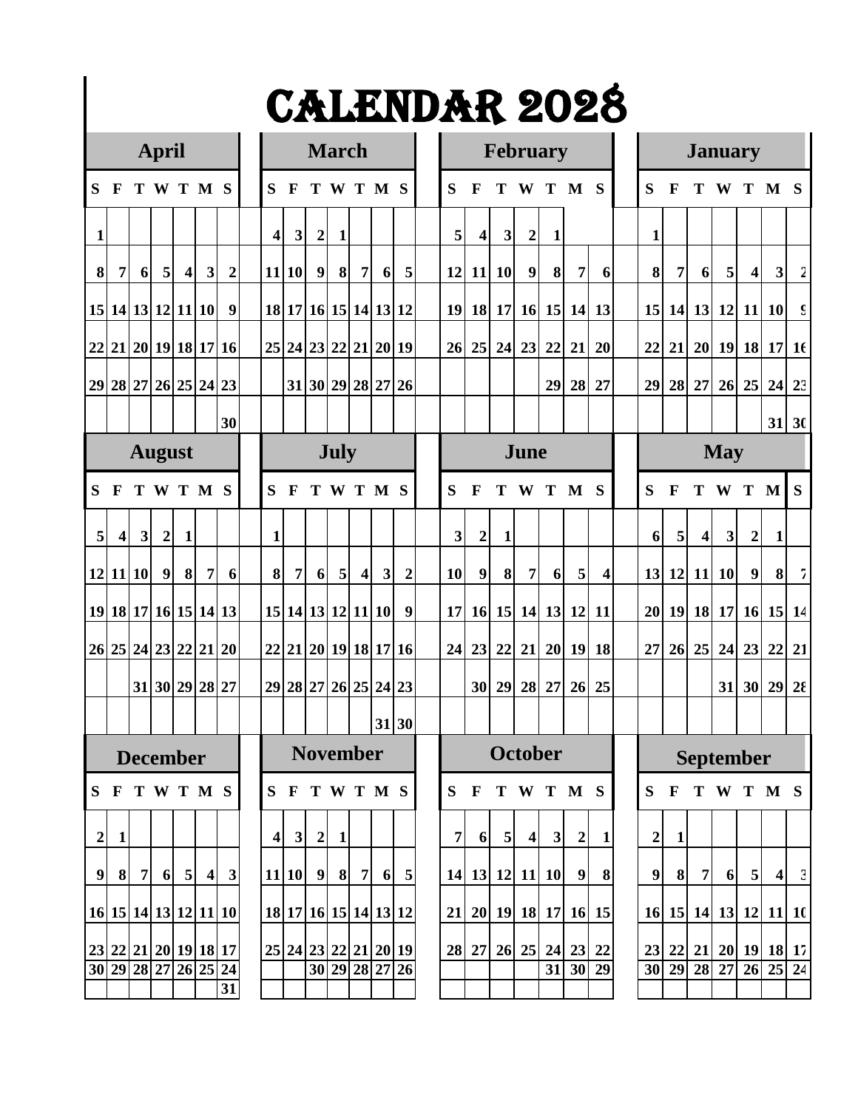|                |                      |                 | <b>April</b>     |            |                 |                  |                |                | <b>March</b>         |                |                |                |                      |                |                         |                | <b>February</b>  |                |                      |           |                  |                      |                  | <b>January</b> |                         |                |                |
|----------------|----------------------|-----------------|------------------|------------|-----------------|------------------|----------------|----------------|----------------------|----------------|----------------|----------------|----------------------|----------------|-------------------------|----------------|------------------|----------------|----------------------|-----------|------------------|----------------------|------------------|----------------|-------------------------|----------------|----------------|
| S              | $\mathbf{F}$         |                 |                  |            | TWTMS           |                  | S              | $\mathbf{F}$   |                      |                |                | TWTMS          |                      | S              | $\mathbf F$             | Т              |                  |                | W T M                | S         | S                | F                    | т                |                |                         | W T M S        |                |
| $\mathbf{1}$   |                      |                 |                  |            |                 |                  | $\overline{4}$ | 3 <sup>1</sup> | $\boldsymbol{2}$     | 1              |                |                |                      | 5              | $\overline{\mathbf{4}}$ | $\mathbf{3}$   | $\boldsymbol{2}$ | 1              |                      |           | $\mathbf{1}$     |                      |                  |                |                         |                |                |
| 8              | 7                    | 6               | 5                | $\vert$    | 3 <sup>l</sup>  | $\boldsymbol{2}$ |                | 11 10          | 9                    | 8              | 7 <sup>1</sup> | 6 <sup>1</sup> | 5                    | 12             | 11                      | <b>10</b>      | 9                | 8              | 7                    | 6         | 8                | 7                    | 6                | 5              | $\overline{\mathbf{4}}$ | $\mathbf{3}$   | $\overline{2}$ |
|                | 15 14 13 12 11 10    |                 |                  |            |                 | 9                |                |                | 18 17 16 15 14 13 12 |                |                |                |                      |                | 19 18                   |                |                  |                | 17 16 15 14          | 13        |                  | 15 14 13 12 11 10    |                  |                |                         |                | $\mathsf{S}$   |
|                | 22 21 20 19 18 17 16 |                 |                  |            |                 |                  |                |                |                      |                |                |                | 25 24 23 22 21 20 19 | 26             | 25                      | 24             | 23               | 22             | 21                   | 20        | 22               | 21                   |                  |                |                         | 20 19 18 17 16 |                |
|                | 29 28 27 26 25 24 23 |                 |                  |            |                 |                  |                |                |                      |                |                |                | 31 30 29 28 27 26    |                |                         |                |                  | 29             | 28                   | 27        | 29               | 28                   | 27               | 26             |                         | $25$ 24 $23$   |                |
|                |                      |                 |                  |            |                 | 30               |                |                |                      |                |                |                |                      |                |                         |                |                  |                |                      |           |                  |                      |                  |                |                         | $31 \, 30$     |                |
|                |                      | <b>August</b>   |                  |            |                 |                  |                |                |                      | July           |                |                |                      |                |                         |                | June             |                |                      |           |                  |                      |                  | <b>May</b>     |                         |                |                |
| S              | F                    |                 |                  |            | TWTMS           |                  | S              | $\mathbf{F}$   |                      |                |                | TWTMS          |                      | S              | $\mathbf{F}$            | T              |                  |                | W T M S              |           | S                | F                    |                  |                | T W T M                 |                | S              |
| 5              | $\boldsymbol{4}$     | $\mathbf{3}$    | $\boldsymbol{2}$ | 1          |                 |                  | 1              |                |                      |                |                |                |                      | 3              | $\boldsymbol{2}$        | 1              |                  |                |                      |           | 6                | 5                    | $\boldsymbol{4}$ | 3              | $\boldsymbol{2}$        | 1              |                |
|                | 12 11 10             |                 | 9                | 8          | 7 <sup>1</sup>  | 6                | $\vert$        | 7 <sup>1</sup> | 6                    | 5 <sub>l</sub> | $\vert$        | 3              | $\boldsymbol{2}$     | <b>10</b>      | 9                       | 8              | $\overline{7}$   | 6 <sup>1</sup> | 5                    | 4         | 13               | 12                   |                  | 11 10          | 9                       | 8              | 7              |
|                | 19 18 17 16 15 14 13 |                 |                  |            |                 |                  |                |                | 15 14 13 12 11 10    |                |                |                | 9                    |                | 17 16                   |                |                  |                | 15 14 13 12          | <b>11</b> |                  | 20 19 18 17 16 15 14 |                  |                |                         |                |                |
|                | 26 25 24 23 22 21 20 |                 |                  |            |                 |                  |                |                |                      |                |                |                | 22 21 20 19 18 17 16 | 24             | 23                      | 22             | 21               | 20             | 19                   | 18        | 27               | 26                   | 25               | 24             | 23                      | 22             | 21             |
|                |                      |                 |                  |            | 31 30 29 28 27  |                  |                |                | 29 28 27 26 25 24 23 |                |                |                |                      |                | 30                      | 29             | 28               | 27             | 26                   | 25        |                  |                      |                  | 31             |                         | 30 29          | $2\epsilon$    |
|                |                      |                 |                  |            |                 |                  |                |                |                      |                |                |                | 31 30                |                |                         |                |                  |                |                      |           |                  |                      |                  |                |                         |                |                |
|                |                      | <b>December</b> |                  |            |                 |                  |                |                | <b>November</b>      |                |                |                |                      |                |                         |                | October          |                |                      |           |                  |                      |                  |                | <b>September</b>        |                |                |
|                | S F T W T M S        |                 |                  |            |                 |                  |                |                | S F T W T M S        |                |                |                |                      |                |                         |                |                  |                | S F T W T M S        |           | S.               | F T W T M S          |                  |                |                         |                |                |
| $\mathbf{2}$   | $\mathbf{1}$         |                 |                  |            |                 |                  | 4              | 3              | $\mathbf{2}$         | -1             |                |                |                      | $\overline{7}$ | 6                       | 5 <sub>l</sub> | $\overline{4}$   | $\mathbf{3}$   | $\mathbf{2}$         | -1        | $\boldsymbol{2}$ | $\mathbf{1}$         |                  |                |                         |                |                |
| 9 <sub>l</sub> | 8 <sup>l</sup>       | 7 <sup>1</sup>  |                  | $6 \mid 5$ | $\vert 4 \vert$ | $\mathbf{3}$     |                |                | $11 10 $ 9 8 7       |                |                |                | 6 <sub>5</sub>       |                |                         |                | 14 13 12 11 10   |                | 9                    | 8         | 9                | 8                    | 7 <sup>1</sup>   | 6              | 5 <sup>1</sup>          | $\vert$        | $\mathbf{c}$   |
|                | 16 15 14 13 12 11 10 |                 |                  |            |                 |                  |                |                |                      |                |                |                | 18 17 16 15 14 13 12 |                |                         |                |                  |                | 21 20 19 18 17 16 15 |           |                  | 16 15 14 13 12 11 10 |                  |                |                         |                |                |
|                | 23 22 21 20 19 18 17 |                 |                  |            |                 |                  |                |                |                      |                |                |                | 25 24 23 22 21 20 19 |                |                         |                |                  |                | 28 27 26 25 24 23 22 |           |                  | 23 22 21 20 19 18 17 |                  |                |                         |                |                |
|                | 30 29 28 27 26 25 24 |                 |                  |            |                 | $\overline{31}$  |                |                |                      |                |                |                | 30 29 28 27 26       |                |                         |                |                  |                | $31\overline{30}$ 29 |           |                  | 30 29 28 27 26 25 24 |                  |                |                         |                |                |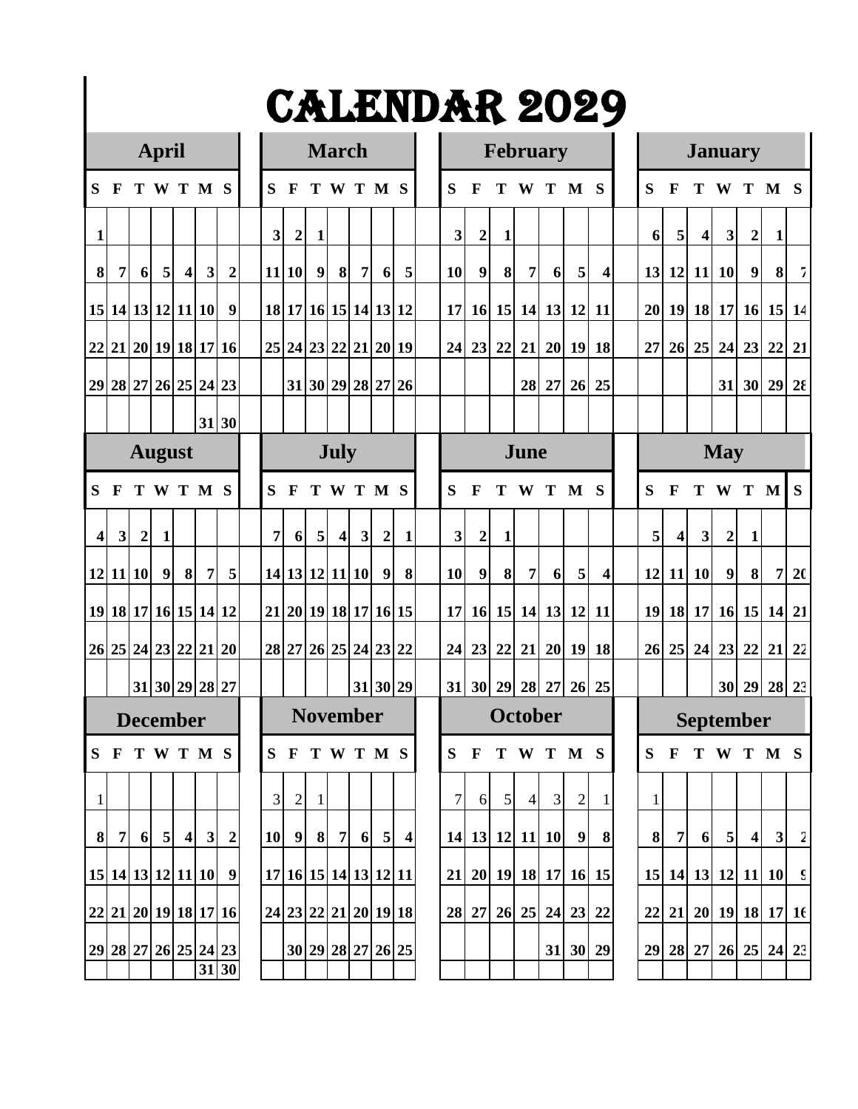|                | <b>April</b> |                                                                                                                                                                                                                                                                                                                                                                                                                                                                                                 |   |  |  |                  |  |                |                  | <b>March</b>                     |                  |                |                |                  |              |                  |              | <b>February</b> |    |                      |                         |              |                         |                  | <b>January</b>   |                  |                      |                |
|----------------|--------------|-------------------------------------------------------------------------------------------------------------------------------------------------------------------------------------------------------------------------------------------------------------------------------------------------------------------------------------------------------------------------------------------------------------------------------------------------------------------------------------------------|---|--|--|------------------|--|----------------|------------------|----------------------------------|------------------|----------------|----------------|------------------|--------------|------------------|--------------|-----------------|----|----------------------|-------------------------|--------------|-------------------------|------------------|------------------|------------------|----------------------|----------------|
| S              | F            |                                                                                                                                                                                                                                                                                                                                                                                                                                                                                                 |   |  |  |                  |  | S              | $\mathbf F$      | T                                |                  |                | WTMS           |                  | S            | $\mathbf F$      | Т            | W               | T  | $\mathbf M$          | S                       | S            | F                       | Т                | W                |                  | T M S                |                |
| 1              |              |                                                                                                                                                                                                                                                                                                                                                                                                                                                                                                 |   |  |  |                  |  | 3              | $\boldsymbol{2}$ | 1                                |                  |                |                |                  | $\mathbf{3}$ | $\boldsymbol{2}$ | $\mathbf{1}$ |                 |    |                      |                         | 6            | 5                       | $\boldsymbol{4}$ | $\mathbf{3}$     | $\boldsymbol{2}$ | $\mathbf{1}$         |                |
| 8              | 7            | 6                                                                                                                                                                                                                                                                                                                                                                                                                                                                                               | 5 |  |  | $\overline{2}$   |  |                | 11 10            | $\boldsymbol{9}$                 | 8                | 7 <sup>1</sup> | 6 <sup>1</sup> | 5                | <b>10</b>    | $\boldsymbol{9}$ | 8            | $\overline{7}$  | 6  | 5 <sup>1</sup>       | $\overline{\mathbf{4}}$ | 13           | 12                      |                  | 11 10            | 9                | 8                    | $7 \vert$      |
|                |              |                                                                                                                                                                                                                                                                                                                                                                                                                                                                                                 |   |  |  |                  |  |                |                  | 18 17 16 15 14 13 12             |                  |                |                |                  | 17           |                  |              |                 |    | 16 15 14 13 12 11    |                         | 20           |                         |                  |                  |                  | 19 18 17 16 15       | 14             |
| 22             |              |                                                                                                                                                                                                                                                                                                                                                                                                                                                                                                 |   |  |  |                  |  |                |                  | 25 24 23 22 21 20 19             |                  |                |                |                  | 24           | 23               | 22           | 21              |    | $20$ 19 18           |                         | 27           | 26                      |                  | 25 24 23 22      |                  |                      | 21             |
|                |              |                                                                                                                                                                                                                                                                                                                                                                                                                                                                                                 |   |  |  |                  |  |                |                  | 31 30 29 28 27 26                |                  |                |                |                  |              |                  |              | 28              | 27 | 26                   | 25                      |              |                         |                  | 31               |                  | 30 29                | $2\epsilon$    |
|                |              |                                                                                                                                                                                                                                                                                                                                                                                                                                                                                                 |   |  |  |                  |  |                |                  |                                  |                  |                |                |                  |              |                  |              |                 |    |                      |                         |              |                         |                  |                  |                  |                      |                |
|                |              |                                                                                                                                                                                                                                                                                                                                                                                                                                                                                                 |   |  |  |                  |  |                |                  |                                  | <b>July</b>      |                |                |                  |              |                  |              | June            |    |                      |                         |              |                         |                  | <b>May</b>       |                  |                      |                |
| S              | F            |                                                                                                                                                                                                                                                                                                                                                                                                                                                                                                 |   |  |  |                  |  | S              | $\mathbf{F}$     |                                  |                  |                | TWTMS          |                  | S            | $\mathbf F$      | T            | W               |    | T M S                |                         | S            | F                       | Т                | W T M            |                  |                      | S              |
| $\overline{4}$ |              | $\boldsymbol{2}$                                                                                                                                                                                                                                                                                                                                                                                                                                                                                | 1 |  |  |                  |  | $\overline{7}$ | 6                | 5                                | $\boldsymbol{4}$ | 3              | $\overline{2}$ | $\mathbf{1}$     | 3            | $\boldsymbol{2}$ | $\mathbf{1}$ |                 |    |                      |                         | 5            | $\overline{\mathbf{4}}$ | $\mathbf{3}$     | $\boldsymbol{2}$ | 1                |                      |                |
|                |              |                                                                                                                                                                                                                                                                                                                                                                                                                                                                                                 |   |  |  |                  |  |                |                  | 14 13 12 11 10                   |                  |                | 9              | 8                | 10           | $\boldsymbol{9}$ | 8            | $\overline{7}$  | 6  | 5 <sup>1</sup>       | $\overline{\mathbf{4}}$ | 12           | <b>11</b>               | <b>10</b>        | $\boldsymbol{9}$ | $\vert$          | 7                    | 20             |
|                |              |                                                                                                                                                                                                                                                                                                                                                                                                                                                                                                 |   |  |  |                  |  |                |                  | 21 20 19 18 17 16 15             |                  |                |                |                  |              |                  |              |                 |    | 17 16 15 14 13 12 11 |                         |              |                         |                  |                  |                  | 19 18 17 16 15 14 21 |                |
|                |              |                                                                                                                                                                                                                                                                                                                                                                                                                                                                                                 |   |  |  |                  |  |                |                  | 28 27 26 25 24 23 22             |                  |                |                |                  | 24           | 23               | 22           | 21              |    | 20 19                | 18                      | 26           | 25                      |                  | 24 23 22         |                  | 21                   | 22             |
|                |              |                                                                                                                                                                                                                                                                                                                                                                                                                                                                                                 |   |  |  |                  |  |                |                  |                                  |                  |                | 31 30 29       |                  | 31           |                  |              |                 |    | 30 29 28 27 26 25    |                         |              |                         |                  |                  |                  | 30 29 28 23          |                |
|                |              |                                                                                                                                                                                                                                                                                                                                                                                                                                                                                                 |   |  |  |                  |  |                |                  | <b>November</b>                  |                  |                |                |                  |              |                  |              | <b>October</b>  |    |                      |                         |              |                         |                  | <b>September</b> |                  |                      |                |
|                |              |                                                                                                                                                                                                                                                                                                                                                                                                                                                                                                 |   |  |  |                  |  |                |                  | <b>SFTWTMS</b>                   |                  |                |                |                  | S            |                  |              |                 |    | F T W T M S          |                         | S.           | $\mathbf{F}$            |                  |                  |                  | TWTMS                |                |
| $\mathbf{1}$   |              |                                                                                                                                                                                                                                                                                                                                                                                                                                                                                                 |   |  |  |                  |  | 3              | $\mathbf{2}$     | $\mathbf{1}$                     |                  |                |                |                  | 7            | 6                | 5            | $\overline{4}$  | 3  | $\overline{2}$       | 1                       | $\mathbf{1}$ |                         |                  |                  |                  |                      |                |
| $\bf{8}$       |              |                                                                                                                                                                                                                                                                                                                                                                                                                                                                                                 |   |  |  | $\boldsymbol{2}$ |  | <b>10</b>      | 9                | 8                                | $\overline{7}$   | 6 <sup>1</sup> | 5 <sup>1</sup> | $\boldsymbol{4}$ |              |                  |              | 14 13 12 11 10  |    | 9 <sup>1</sup>       | 8                       | 8            | 7                       | 6                | $5\overline{)}$  | $\boldsymbol{4}$ | $\mathbf{3}$         | $\overline{2}$ |
|                |              |                                                                                                                                                                                                                                                                                                                                                                                                                                                                                                 |   |  |  |                  |  |                |                  | 17   16   15   14   13   12   11 |                  |                |                |                  | 21           |                  |              | 20 19 18 17     |    |                      | 16 15                   | 15           |                         |                  | 14 13 12 11 10   |                  |                      | $\mathbf{g}$   |
| 22             |              | TWTMS<br>3<br>$\overline{4}$<br>15 14 13 12 11 10<br>9<br>21 20 19 18 17 16<br>29 28 27 26 25 24 23<br>31 30<br><b>August</b><br>TWTMS<br>3 <sup>1</sup><br>5 <sub>l</sub><br>12 11 10<br>9<br>$\vert$<br>7 <sup>1</sup><br>19 18 17 16 15 14 12<br>26 25 24 23 22 21 20<br>31 30 29 28 27<br><b>December</b><br><b>SFTWTMS</b><br>7 <sup>1</sup><br>5 <sub>l</sub><br>3<br>$\boldsymbol{4}$<br>6<br>9<br>15 14 13 12 11 10 <br>21 20 19 18 17 16<br>29 28 27 26 25 24 23<br>$\overline{31}$ 30 |   |  |  |                  |  |                |                  | 24 23 22 21 20 19 18             |                  |                |                |                  | 28           | 27               |              | 26 25           | 24 | 23                   | 22                      | 22           | 21                      |                  |                  |                  | 20 19 18 17 16       |                |
|                |              |                                                                                                                                                                                                                                                                                                                                                                                                                                                                                                 |   |  |  |                  |  |                |                  | 30 29 28 27 26 25                |                  |                |                |                  |              |                  |              |                 | 31 | 30                   | 29                      | 29           | 28                      | 27               | 26               |                  | $25 \mid 24 \mid 23$ |                |